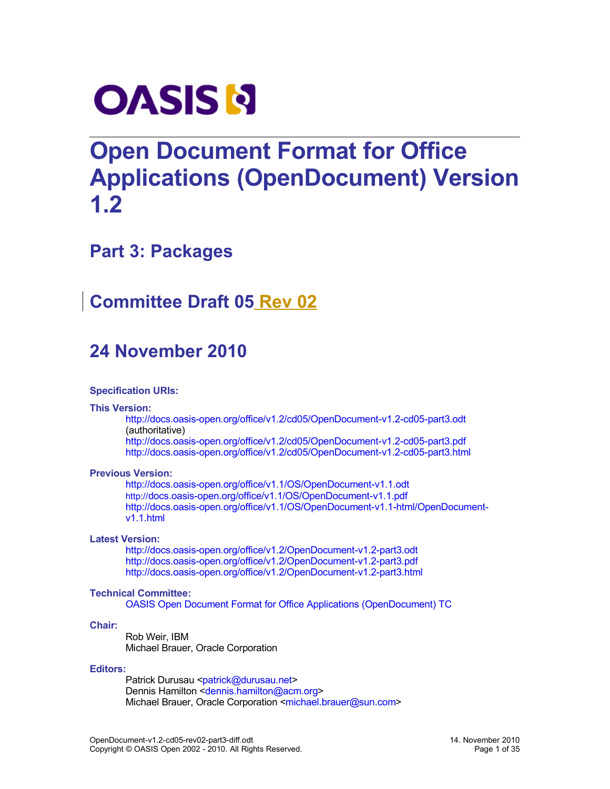

# **Open Document Format for Office Applications (OpenDocument) Version 1.2**

# **Part 3: Packages**

# **Committee Draft 05 Rev 02**

# **24 November 2010**

#### **Specification URIs:**

#### **This Version:**

[http://docs.oasis-open.org/office/v1.2/cd05/OpenDocument-v1.2-cd05-part3.odt](http://docs.oasis-open.org/office/v1.2/cd05/OpenDocument-v1.2-cd05-part3.pdf) (authoritative)

<http://docs.oasis-open.org/office/v1.2/cd05/OpenDocument-v1.2-cd05-part3.pdf> <http://docs.oasis-open.org/office/v1.2/cd05/OpenDocument-v1.2-cd05-part3.html>

#### **Previous Version:**

[http://docs.oasis-open.org/office/v1.1/OS/OpenDocument-v1.1.odt](http://docs.oasis-open.org/office/v1.1/OS/OpenDocument-v1.1.pdf) [http://](http://docs.oasis-open.org/office/v1.1/OS/OpenDocument-v1.1.pdf)[docs.oasis-open.org/office/v1.1/OS/OpenDocument-v1.1.pdf](http://docs.oasis-open.org/office/v1.1/OS/OpenDocument-v1.1.pdf) [http://docs.oasis-open.org/office/v1.1/OS/OpenDocument-v1.1-html/OpenDocument](http://docs.oasis-open.org/office/v1.1/OS/OpenDocument-v1.1-html/OpenDocument-v1.1.html)[v1.1.html](http://docs.oasis-open.org/office/v1.1/OS/OpenDocument-v1.1-html/OpenDocument-v1.1.html)

#### **Latest Version:**

[http://docs.oasis-open.org/office/v1.2/OpenDocument-v1.2-part3.odt](http://docs.oasis-open.org/office/v1.2/OpenDocument-v1.2-part3.pdf) <http://docs.oasis-open.org/office/v1.2/OpenDocument-v1.2-part3.pdf> <http://docs.oasis-open.org/office/v1.2/OpenDocument-v1.2-part3.html>

#### **Technical Committee:**

[OASIS Open Document Format for Office Applications \(OpenDocument\) TC](http://www.oasis-open.org/committees/tc_home.php?wg_abbrev=office)

#### **Chair:**

Rob Weir, IBM Michael Brauer, Oracle Corporation

#### **Editors:**

Patrick Durusau [<patrick@durusau.net>](mailto:patrick@durusau.net) Dennis Hamilton [<dennis.hamilton@acm.org>](mailto:dennis.hamilton@acm.org) Michael Brauer, Oracle Corporation [<michael.brauer@sun.com>](mailto:michael.brauer@sun.com)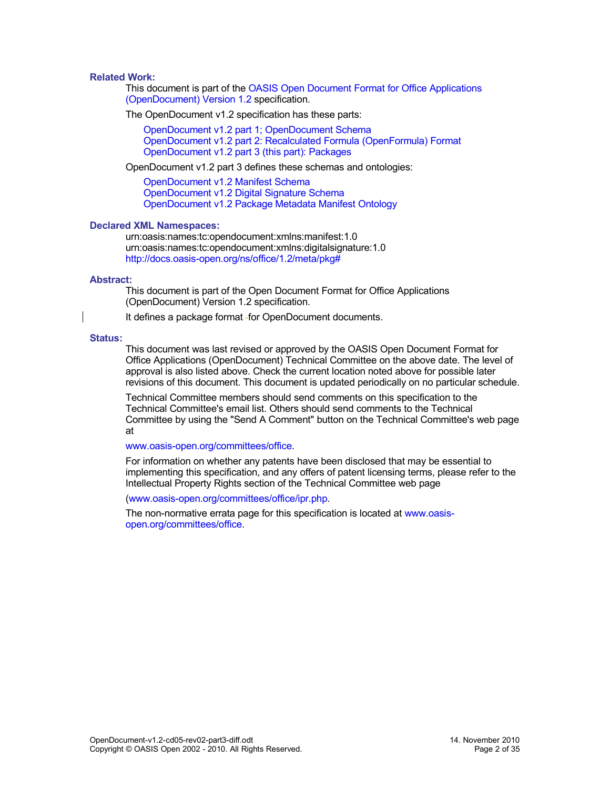#### **Related Work:**

This document is part of the [OASIS Open Document Format for Office Applications](http://docs.oasis-open.org/office/v1.2/cd05/OpenDocument-v1.2-cd05.pdf) [\(OpenDocument\) Version 1.2](http://docs.oasis-open.org/office/v1.2/cd05/OpenDocument-v1.2-cd05.pdf) specification.

The OpenDocument v1.2 specification has these parts:

[OpenDocument v1.2 part 1; OpenDocument Schema](http://docs.oasis-open.org/office/v1.2/cd05/OpenDocument-v1.2-cd05-part1.pdf) [OpenDocument v1.2 part 2: Recalculated Formula \(OpenFormula\) Format](http://docs.oasis-open.org/office/v1.2/cd05/OpenDocument-v1.2-cd05-part2.pdf) [OpenDocument v1.2 part 3 \(this part\): Packages](http://docs.oasis-open.org/office/v1.2/cd05/OpenDocument-v1.2-cd05-part3.pdf)

OpenDocument v1.2 part 3 defines these schemas and ontologies:

[OpenDocument v1.2 Manifest Schema](http://docs.oasis-open.org/office/v1.2/cd05/OpenDocument-v1.2-cd05-manifest-schema.rng) [OpenDocument v1.2 Digital Signature Schema](http://docs.oasis-open.org/office/v1.2/cd05/OpenDocument-v1.2-cd05-dsig-schema.rng) [OpenDocument v1.2 Package Metadata Manifest Ontology](http://docs.oasis-open.org/office/v1.2/cd05/OpenDocument-v1.2-cd05-package-metadata.owl)

#### **Declared XML Namespaces:**

urn:oasis:names:tc:opendocument:xmlns:manifest:1.0 urn:oasis:names:tc:opendocument:xmlns:digitalsignature:1.0 <http://docs.oasis-open.org/ns/office/1.2/meta/pkg#>

#### **Abstract:**

This document is part of the Open Document Format for Office Applications (OpenDocument) Version 1.2 specification.

It defines a package format - for OpenDocument documents.

#### **Status:**

This document was last revised or approved by the OASIS Open Document Format for Office Applications (OpenDocument) Technical Committee on the above date. The level of approval is also listed above. Check the current location noted above for possible later revisions of this document. This document is updated periodically on no particular schedule.

Technical Committee members should send comments on this specification to the Technical Committee's email list. Others should send comments to the Technical Committee by using the "Send A Comment" button on the Technical Committee's web page at

#### [www.oasis-open.org/committees/office.](http://www.oasis-open.org/committees/office)

For information on whether any patents have been disclosed that may be essential to implementing this specification, and any offers of patent licensing terms, please refer to the Intellectual Property Rights section of the Technical Committee web page

[\(www.oasis-open.org/committees/office/ipr.php.](http://www.oasis-open.org/committees/office/ipr.php)

The non-normative errata page for this specification is located at [www.oasis](http://www.oasis-open.org/committees/office)[open.org/committees/office.](http://www.oasis-open.org/committees/office)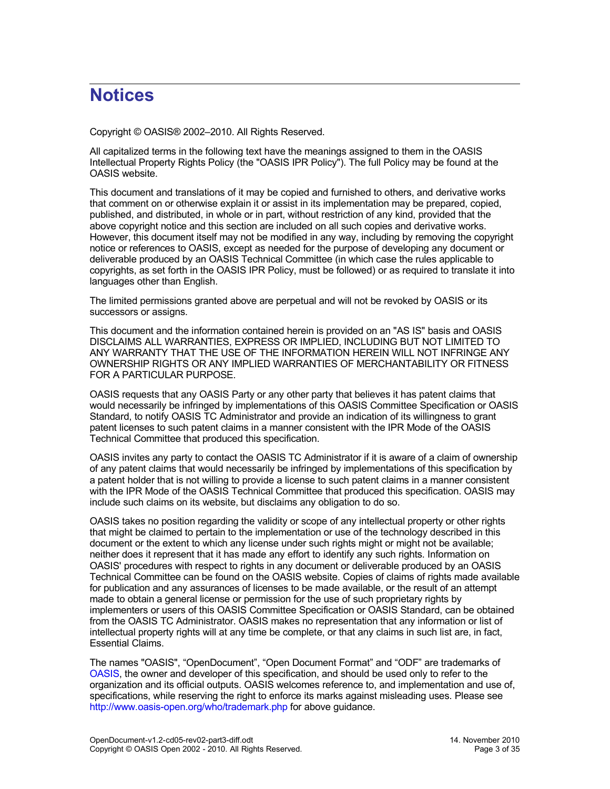# **Notices**

Copyright © OASIS® 2002–2010. All Rights Reserved.

All capitalized terms in the following text have the meanings assigned to them in the OASIS Intellectual Property Rights Policy (the "OASIS IPR Policy"). The full Policy may be found at the OASIS website.

This document and translations of it may be copied and furnished to others, and derivative works that comment on or otherwise explain it or assist in its implementation may be prepared, copied, published, and distributed, in whole or in part, without restriction of any kind, provided that the above copyright notice and this section are included on all such copies and derivative works. However, this document itself may not be modified in any way, including by removing the copyright notice or references to OASIS, except as needed for the purpose of developing any document or deliverable produced by an OASIS Technical Committee (in which case the rules applicable to copyrights, as set forth in the OASIS IPR Policy, must be followed) or as required to translate it into languages other than English.

The limited permissions granted above are perpetual and will not be revoked by OASIS or its successors or assigns.

This document and the information contained herein is provided on an "AS IS" basis and OASIS DISCLAIMS ALL WARRANTIES, EXPRESS OR IMPLIED, INCLUDING BUT NOT LIMITED TO ANY WARRANTY THAT THE USE OF THE INFORMATION HEREIN WILL NOT INFRINGE ANY OWNERSHIP RIGHTS OR ANY IMPLIED WARRANTIES OF MERCHANTABILITY OR FITNESS FOR A PARTICULAR PURPOSE.

OASIS requests that any OASIS Party or any other party that believes it has patent claims that would necessarily be infringed by implementations of this OASIS Committee Specification or OASIS Standard, to notify OASIS TC Administrator and provide an indication of its willingness to grant patent licenses to such patent claims in a manner consistent with the IPR Mode of the OASIS Technical Committee that produced this specification.

OASIS invites any party to contact the OASIS TC Administrator if it is aware of a claim of ownership of any patent claims that would necessarily be infringed by implementations of this specification by a patent holder that is not willing to provide a license to such patent claims in a manner consistent with the IPR Mode of the OASIS Technical Committee that produced this specification. OASIS may include such claims on its website, but disclaims any obligation to do so.

OASIS takes no position regarding the validity or scope of any intellectual property or other rights that might be claimed to pertain to the implementation or use of the technology described in this document or the extent to which any license under such rights might or might not be available; neither does it represent that it has made any effort to identify any such rights. Information on OASIS' procedures with respect to rights in any document or deliverable produced by an OASIS Technical Committee can be found on the OASIS website. Copies of claims of rights made available for publication and any assurances of licenses to be made available, or the result of an attempt made to obtain a general license or permission for the use of such proprietary rights by implementers or users of this OASIS Committee Specification or OASIS Standard, can be obtained from the OASIS TC Administrator. OASIS makes no representation that any information or list of intellectual property rights will at any time be complete, or that any claims in such list are, in fact, Essential Claims.

The names "OASIS", "OpenDocument", "Open Document Format" and "ODF" are trademarks of [OASIS,](http://www.oasis-open.org/) the owner and developer of this specification, and should be used only to refer to the organization and its official outputs. OASIS welcomes reference to, and implementation and use of, specifications, while reserving the right to enforce its marks against misleading uses. Please see <http://www.oasis-open.org/who/trademark.php>for above guidance.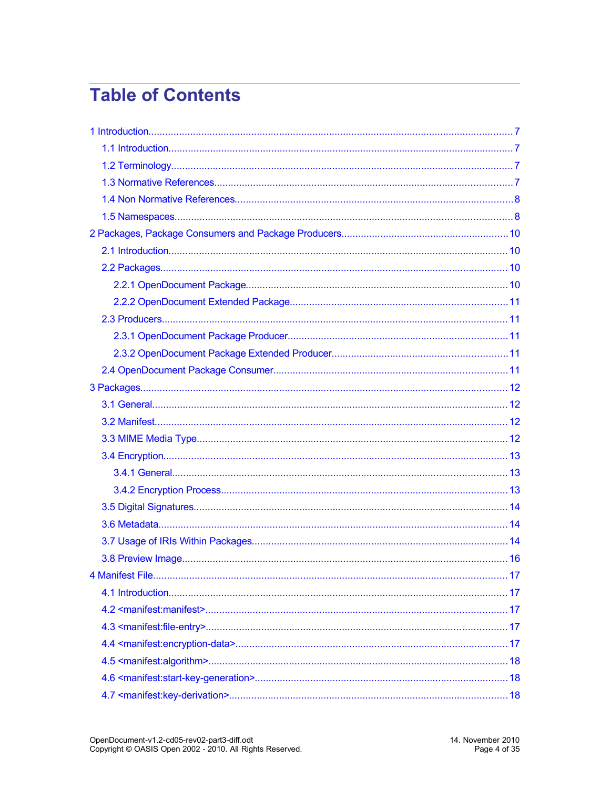# **Table of Contents**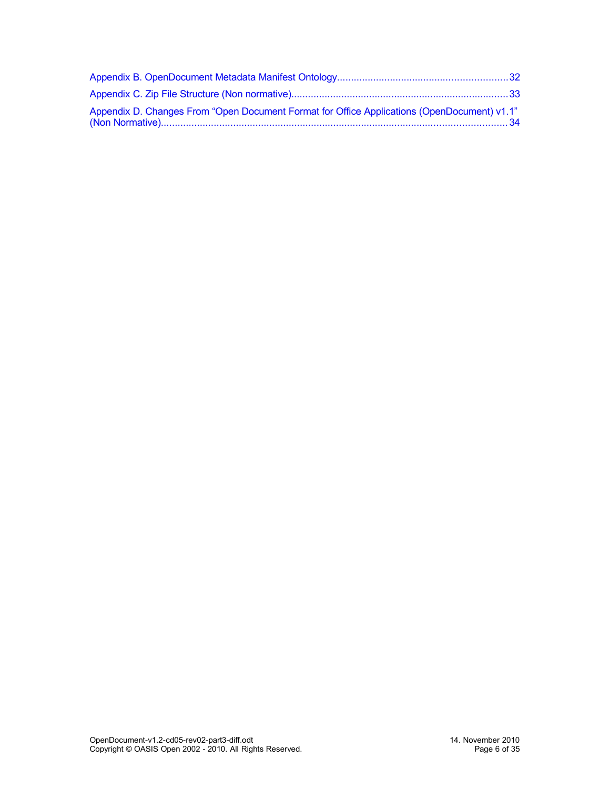| "Appendix D. Changes From "Open Document Format for Office Applications (OpenDocument) v1.1 |  |
|---------------------------------------------------------------------------------------------|--|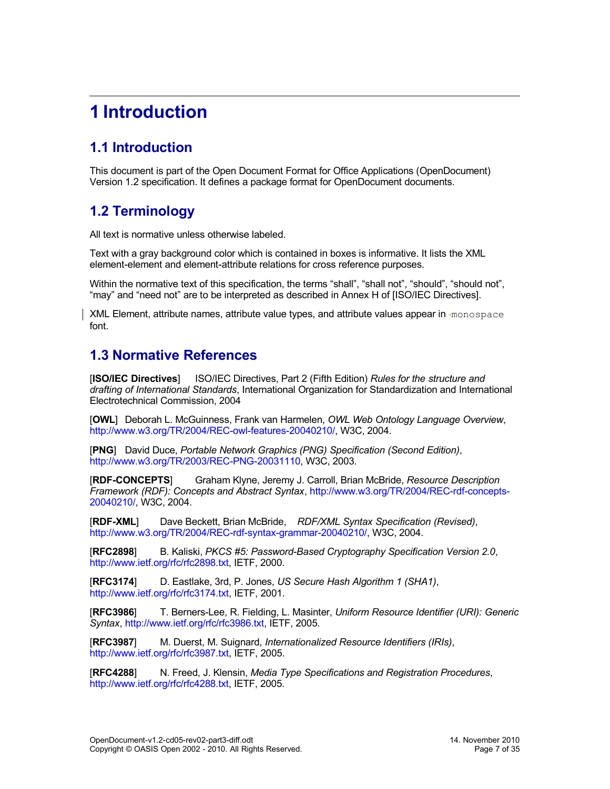# <span id="page-6-3"></span>**1 Introduction**

# <span id="page-6-2"></span>**1.1 Introduction**

This document is part of the Open Document Format for Office Applications (OpenDocument) Version 1.2 specification. It defines a package format for OpenDocument documents.

## <span id="page-6-1"></span>**1.2 Terminology**

All text is normative unless otherwise labeled.

Text with a gray background color which is contained in boxes is informative. It lists the XML element-element and element-attribute relations for cross reference purposes.

Within the normative text of this specification, the terms "shall", "shall not", "should", "should not", "may" and "need not" are to be interpreted as described in Annex H of [ISO/IEC Directives].

XML Element, attribute names, attribute value types, and attribute values appear in -monospace font.

## <span id="page-6-0"></span>**1.3 Normative References**

[**ISO/IEC Directives**] ISO/IEC Directives, Part 2 (Fifth Edition) *Rules for the structure and drafting of International Standards*, International Organization for Standardization and International Electrotechnical Commission, 2004

[**OWL**] Deborah L. McGuinness, Frank van Harmelen, *OWL Web Ontology Language Overview*, [http://www.w3.org/TR/2004/REC-owl-features-20040210/,](http://www.w3.org/TR/2004/REC-owl-features-20040210/) W3C, 2004.

[**PNG**] David Duce, *Portable Network Graphics (PNG) Specification (Second Edition)*, [http://www.w3.org/TR/2003/REC-PNG-20031110,](http://www.w3.org/TR/2003/REC-PNG-20031110) W3C, 2003.

[**RDF-CONCEPTS**] Graham Klyne, Jeremy J. Carroll, Brian McBride, *Resource Description Framework (RDF): Concepts and Abstract Syntax*, [http://www.w3.org/TR/2004/REC-rdf-concepts-](http://www.w3.org/TR/2004/REC-rdf-concepts-20040210/)[20040210/,](http://www.w3.org/TR/2004/REC-rdf-concepts-20040210/) W3C, 2004.

[**RDF-XML**] Dave Beckett, Brian McBride, *RDF/XML Syntax Specification (Revised)*, [http://www.w3.org/TR/2004/REC-rdf-syntax-grammar-20040210/,](http://www.w3.org/TR/2004/REC-rdf-syntax-grammar-20040210/) W3C, 2004.

[**RFC2898**] B. Kaliski, *PKCS #5: Password-Based Cryptography Specification Version 2.0*, [http://www.ietf.org/rfc/rfc2898.txt,](http://www.ietf.org/rfc/rfc2898.txt) IETF, 2000.

[**RFC3174**] D. Eastlake, 3rd, P. Jones, *US Secure Hash Algorithm 1 (SHA1)*, [http://www.ietf.org/rfc/rfc3174.txt,](http://www.ietf.org/rfc/rfc3174.txt) IETF, 2001.

[**RFC3986**] T. Berners-Lee, R. Fielding, L. Masinter, *Uniform Resource Identifier (URI): Generic Syntax*, [http://www.ietf.org/rfc/rfc3986.txt,](http://www.ietf.org/rfc/rfc3986.txt) IETF, 2005.

[**RFC3987**] M. Duerst, M. Suignard, *Internationalized Resource Identifiers (IRIs)*, [http://www.ietf.org/rfc/rfc3987.txt,](http://www.ietf.org/rfc/rfc3987.txt) IETF, 2005.

[**RFC4288**] N. Freed, J. Klensin, *Media Type Specifications and Registration Procedures*, [http://www.ietf.org/rfc/rfc4288.txt,](http://www.ietf.org/rfc/rfc4288.txt) IETF, 2005.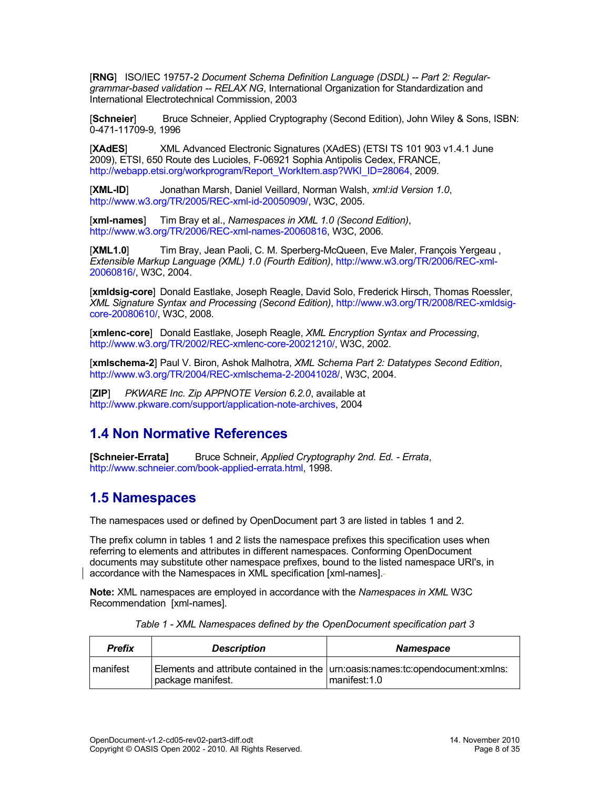[**RNG**] ISO/IEC 19757-2 *Document Schema Definition Language (DSDL) -- Part 2: Regulargrammar-based validation -- RELAX NG*, International Organization for Standardization and International Electrotechnical Commission, 2003

[**Schneier**] Bruce Schneier, Applied Cryptography (Second Edition), John Wiley & Sons, ISBN: 0-471-11709-9, 1996

[**XAdES**] XML Advanced Electronic Signatures (XAdES) (ETSI TS 101 903 v1.4.1 June 2009), ETSI, 650 Route des Lucioles, F-06921 Sophia Antipolis Cedex, FRANCE, [http://webapp.etsi.org/workprogram/Report\\_WorkItem.asp?WKI\\_ID=28064,](http://webapp.etsi.org/workprogram/Report_WorkItem.asp?WKI_ID=28064) 2009.

[**XML-ID**] Jonathan Marsh, Daniel Veillard, Norman Walsh, *xml:id Version 1.0*, [http://www.w3.org/TR/2005/REC-xml-id-20050909/,](http://www.w3.org/TR/2005/REC-xml-id-20050909/) W3C, 2005.

[**xml-names**] Tim Bray et al., *Namespaces in XML 1.0 (Second Edition)*, [http://www.w3.org/TR/2006/REC-xml-names-20060816,](http://www.w3.org/TR/2006/REC-xml-names-20060816) W3C, 2006.

[**XML1.0**] Tim Bray, Jean Paoli, C. M. Sperberg-McQueen, Eve Maler, François Yergeau , *Extensible Markup Language (XML) 1.0 (Fourth Edition)*, [http://www.w3.org/TR/2006/REC-xml-](http://www.w3.org/TR/2006/REC-xml-20060816/)[20060816/,](http://www.w3.org/TR/2006/REC-xml-20060816/) W3C, 2004.

[**xmldsig-core**] Donald Eastlake, Joseph Reagle, David Solo, Frederick Hirsch, Thomas Roessler, *XML Signature Syntax and Processing (Second Edition)*, [http://www.w3.org/TR/2008/REC-xmldsig](http://www.w3.org/TR/2008/REC-xmldsig-core-20080610/)[core-20080610/,](http://www.w3.org/TR/2008/REC-xmldsig-core-20080610/) W3C, 2008.

[**xmlenc-core**] Donald Eastlake, Joseph Reagle, *XML Encryption Syntax and Processing*, [http://www.w3.org/TR/2002/REC-xmlenc-core-20021210/,](http://www.w3.org/TR/2002/REC-xmlenc-core-20021210/) W3C, 2002.

[**xmlschema-2**] Paul V. Biron, Ashok Malhotra, *XML Schema Part 2: Datatypes Second Edition*, [http://www.w3.org/TR/2004/REC-xmlschema-2-20041028/,](http://www.w3.org/TR/2004/REC-xmlschema-2-20041028/) W3C, 2004.

[**ZIP**] *PKWARE Inc. Zip APPNOTE Version 6.2.0*, available at [http://www.pkware.com/support/application-note-archives,](http://www.pkware.com/support/application-note-archives) 2004

# <span id="page-7-1"></span>**1.4 Non Normative References**

**[Schneier-Errata]** Bruce Schneir, *Applied Cryptography 2nd. Ed. - Errata*, [http://www.schneier.com/book-applied-errata.html,](http://www.schneier.com/book-applied-errata.html) 1998.

### <span id="page-7-0"></span>**1.5 Namespaces**

The namespaces used or defined by OpenDocument part 3 are listed in tables 1 and 2.

The prefix column in tables 1 and 2 lists the namespace prefixes this specification uses when referring to elements and attributes in different namespaces. Conforming OpenDocument documents may substitute other namespace prefixes, bound to the listed namespace URI's, in accordance with the Namespaces in XML specification [xml-names].

**Note:** XML namespaces are employed in accordance with the *Namespaces in XML* W3C Recommendation [xml-names].

| <b>Prefix</b> | <b>Description</b> | <b>Namespace</b>                                                                                   |
|---------------|--------------------|----------------------------------------------------------------------------------------------------|
| manifest      | package manifest.  | Elements and attribute contained in the $ $ urn:oasis:names:tc:opendocument:xmlns:<br>manifest:1.0 |

*Table 1 - XML Namespaces defined by the OpenDocument specification part 3*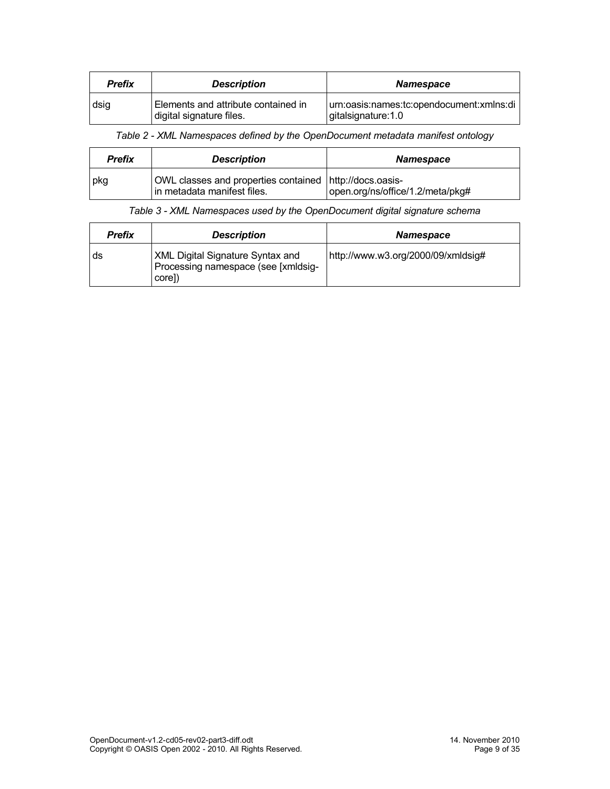| Prefix | <b>Description</b>                                              | <b>Namespace</b>                                                |
|--------|-----------------------------------------------------------------|-----------------------------------------------------------------|
| dsig   | Elements and attribute contained in<br>digital signature files. | urn:oasis:names:tc:opendocument:xmlns:di<br>gitalsignature: 1.0 |

*Table 2 - XML Namespaces defined by the OpenDocument metadata manifest ontology*

| Prefix | <b>Description</b>                                                                     | <b>Namespace</b>                 |
|--------|----------------------------------------------------------------------------------------|----------------------------------|
| pkg    | OWL classes and properties contained http://docs.oasis-<br>in metadata manifest files. | open.org/ns/office/1.2/meta/pkg# |

#### *Table 3 - XML Namespaces used by the OpenDocument digital signature schema*

| <b>Prefix</b> | <b>Description</b>                                                                       | <b>Namespace</b>                   |
|---------------|------------------------------------------------------------------------------------------|------------------------------------|
| . ds          | <b>XML Digital Signature Syntax and</b><br>Processing namespace (see [xmldsig-<br>core]) | http://www.w3.org/2000/09/xmldsig# |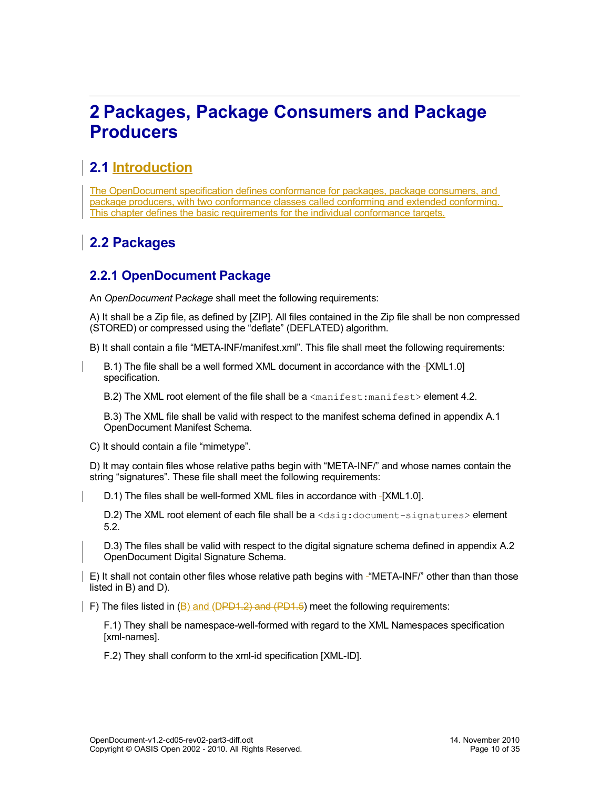# <span id="page-9-3"></span>**2 Packages, Package Consumers and Package Producers**

# <span id="page-9-2"></span>**2.1 Introduction**

The OpenDocument specification defines conformance for packages, package consumers, and package producers, with two conformance classes called conforming and extended conforming. This chapter defines the basic requirements for the individual conformance targets.

# <span id="page-9-1"></span>**2.2 Packages**

## <span id="page-9-0"></span>**2.2.1 OpenDocument Package**

An *OpenDocument* P*ackage* shall meet the following requirements:

A) It shall be a Zip file, as defined by [ZIP]. All files contained in the Zip file shall be non compressed (STORED) or compressed using the "deflate" (DEFLATED) algorithm.

B) It shall contain a file "META-INF/manifest.xml". This file shall meet the following requirements:

B.1) The file shall be a well formed XML document in accordance with the -[XML1.0] specification.

B.2) The XML root element of the file shall be a  $\leq$ manifest:manifest> element [4.2.](#page-17-2)

B.3) The XML file shall be valid with respect to the manifest schema defined in appendix A.1 OpenDocument Manifest Schema.

C) It should contain a file "mimetype".

D) It may contain files whose relative paths begin with "META-INF/" and whose names contain the string "signatures". These file shall meet the following requirements:

D.1) The files shall be well-formed XML files in accordance with [XML1.0].

D.2) The XML root element of each file shall be a <dsig:document-signatures> element [5.2.](#page-25-1)

D.3) The files shall be valid with respect to the digital signature schema defined in appendix A.2 OpenDocument Digital Signature Schema.

E) It shall not contain other files whose relative path begins with "META-INF/" other than than those listed in B) and D).

F) The files listed in (B) and (DPD1.2) and (PD1.5) meet the following requirements:

F.1) They shall be namespace-well-formed with regard to the XML Namespaces specification [xml-names].

F.2) They shall conform to the xml-id specification [XML-ID].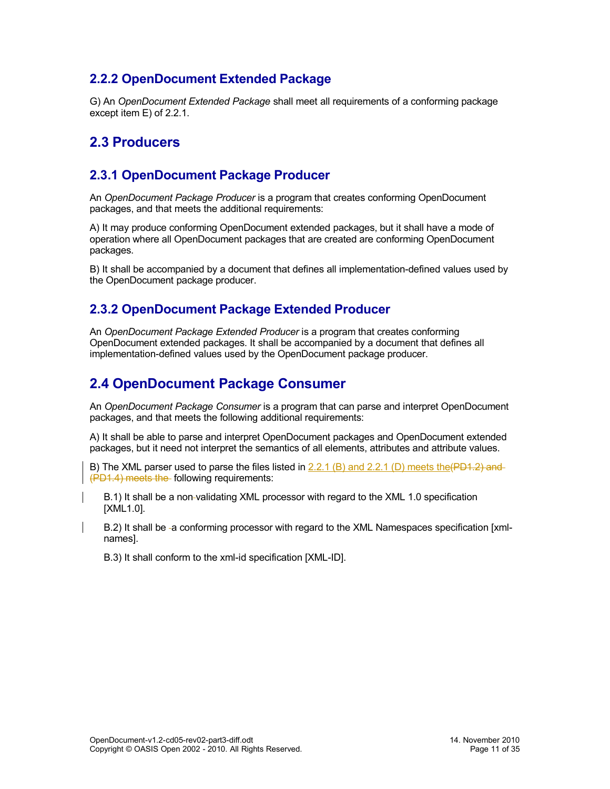### <span id="page-10-4"></span>**2.2.2 OpenDocument Extended Package**

G) An *OpenDocument Extended Package* shall meet all requirements of a conforming package except item E) of [2.2.1.](#page-9-0)

### <span id="page-10-3"></span>**2.3 Producers**

#### <span id="page-10-2"></span>**2.3.1 OpenDocument Package Producer**

An *OpenDocument Package Producer* is a program that creates conforming OpenDocument packages, and that meets the additional requirements:

A) It may produce conforming OpenDocument extended packages, but it shall have a mode of operation where all OpenDocument packages that are created are conforming OpenDocument packages.

B) It shall be accompanied by a document that defines all implementation-defined values used by the OpenDocument package producer.

#### <span id="page-10-1"></span>**2.3.2 OpenDocument Package Extended Producer**

An *OpenDocument Package Extended Producer* is a program that creates conforming OpenDocument extended packages. It shall be accompanied by a document that defines all implementation-defined values used by the OpenDocument package producer.

## <span id="page-10-0"></span>**2.4 OpenDocument Package Consumer**

An *OpenDocument Package Consumer* is a program that can parse and interpret OpenDocument packages, and that meets the following additional requirements:

A) It shall be able to parse and interpret OpenDocument packages and OpenDocument extended packages, but it need not interpret the semantics of all elements, attributes and attribute values.

B) The XML parser used to parse the files listed in  $2.2.1$  (B) and  $2.2.1$  (D) meets the (PD1.2) and (PD1.4) meets the following requirements:

B.1) It shall be a non validating XML processor with regard to the XML 1.0 specification [XML1.0].

B.2) It shall be -a conforming processor with regard to the XML Namespaces specification [xmlnames].

B.3) It shall conform to the xml-id specification [XML-ID].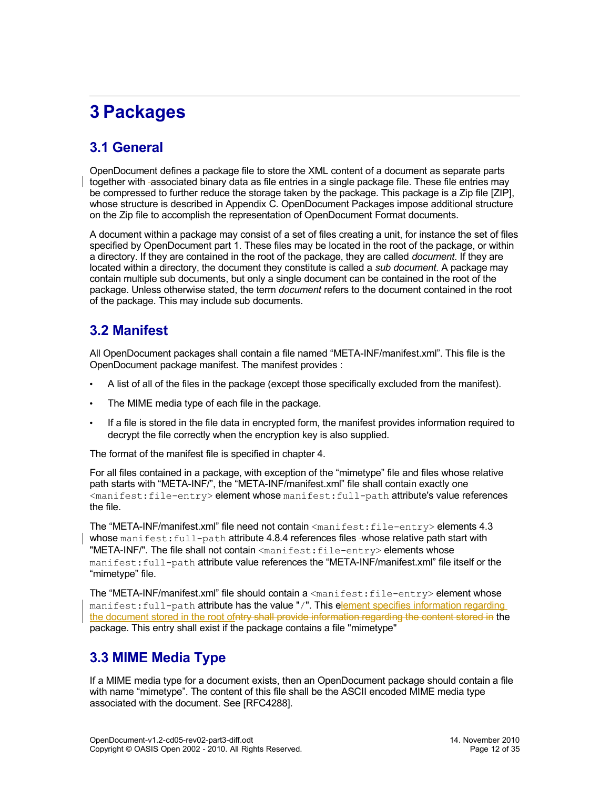# <span id="page-11-3"></span>**3 Packages**

# <span id="page-11-2"></span>**3.1 General**

OpenDocument defines a package file to store the XML content of a document as separate parts together with associated binary data as file entries in a single package file. These file entries may be compressed to further reduce the storage taken by the package. This package is a Zip file [ZIP], whose structure is described in Appendix C. OpenDocument Packages impose additional structure on the Zip file to accomplish the representation of OpenDocument Format documents.

A document within a package may consist of a set of files creating a unit, for instance the set of files specified by OpenDocument part 1. These files may be located in the root of the package, or within a directory. If they are contained in the root of the package, they are called *document*. If they are located within a directory, the document they constitute is called a *sub document*. A package may contain multiple sub documents, but only a single document can be contained in the root of the package. Unless otherwise stated, the term *document* refers to the document contained in the root of the package. This may include sub documents.

## <span id="page-11-1"></span>**3.2 Manifest**

All OpenDocument packages shall contain a file named "META-INF/manifest.xml". This file is the OpenDocument package manifest. The manifest provides :

- A list of all of the files in the package (except those specifically excluded from the manifest).
- The MIME media type of each file in the package.
- If a file is stored in the file data in encrypted form, the manifest provides information required to decrypt the file correctly when the encryption key is also supplied.

The format of the manifest file is specified in chapter [4.](#page-17-4)

For all files contained in a package, with exception of the "mimetype" file and files whose relative path starts with "META-INF/", the "META-INF/manifest.xml" file shall contain exactly one <manifest:file-entry> element whose manifest:full-path attribute's value references the file.

The "META-INF/manifest.xml" file need not contain <manifest:file-entry> elements [4.3](#page-17-1) whose manifest: full-path attribute [4.8.4](#page-21-2) references files -whose relative path start with "META-INF/". The file shall not contain <manifest:file-entry> elements whose manifest:full-path attribute value references the "META-INF/manifest.xml" file itself or the "mimetype" file.

The "META-INF/manifest.xml" file should contain a  $\langle$ manifest:file-entry> element whose manifest:full-path attribute has the value "/". This element specifies information regarding the document stored in the root ofntry shall provide information regarding the content stored in the package. This entry shall exist if the package contains a file "mimetype"

## <span id="page-11-0"></span>**3.3 MIME Media Type**

If a MIME media type for a document exists, then an OpenDocument package should contain a file with name "mimetype". The content of this file shall be the ASCII encoded MIME media type associated with the document. See [RFC4288].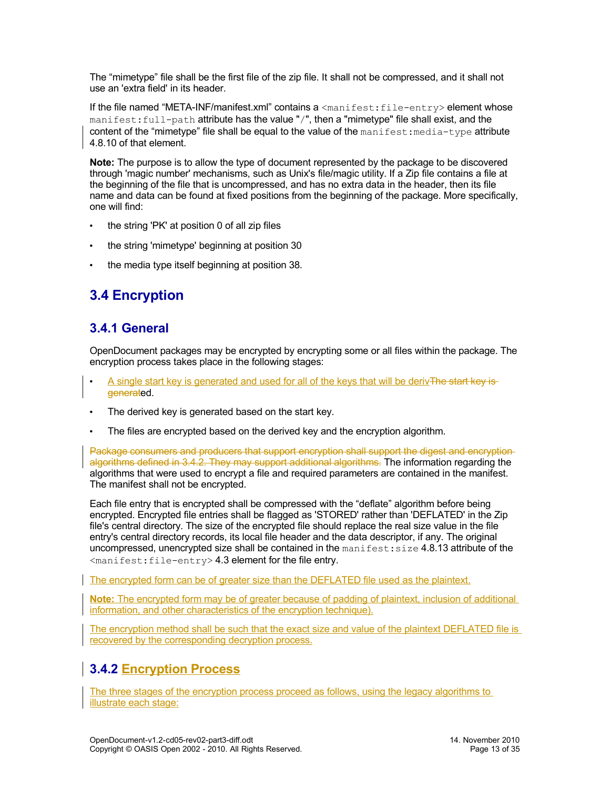The "mimetype" file shall be the first file of the zip file. It shall not be compressed, and it shall not use an 'extra field' in its header.

If the file named "META-INF/manifest.xml" contains a <manifest:file-entry> element whose manifest:full-path attribute has the value "/", then a "mimetype" file shall exist, and the content of the "mimetype" file shall be equal to the value of the  $\text{mantest:median-type}$  attribute [4.8.10](#page-23-1) of that element.

**Note:** The purpose is to allow the type of document represented by the package to be discovered through 'magic number' mechanisms, such as Unix's file/magic utility. If a Zip file contains a file at the beginning of the file that is uncompressed, and has no extra data in the header, then its file name and data can be found at fixed positions from the beginning of the package. More specifically, one will find:

- the string 'PK' at position 0 of all zip files
- the string 'mimetype' beginning at position 30
- the media type itself beginning at position 38.

# <span id="page-12-2"></span>**3.4 Encryption**

### <span id="page-12-1"></span>**3.4.1 General**

OpenDocument packages may be encrypted by encrypting some or all files within the package. The encryption process takes place in the following stages:

- A single start key is generated and used for all of the keys that will be derivThe start key isgenerated.
- The derived key is generated based on the start key.
- The files are encrypted based on the derived key and the encryption algorithm.

Package consumers and producers that support encryption shall support the digest and encryptionalgorithms defined in [3.4.2.](#page-12-0) They may support additional algorithms. The information regarding the algorithms that were used to encrypt a file and required parameters are contained in the manifest. The manifest shall not be encrypted.

Each file entry that is encrypted shall be compressed with the "deflate" algorithm before being encrypted. Encrypted file entries shall be flagged as 'STORED' rather than 'DEFLATED' in the Zip file's central directory. The size of the encrypted file should replace the real size value in the file entry's central directory records, its local file header and the data descriptor, if any. The original uncompressed, unencrypted size shall be contained in the manifest: size [4.8.13](#page-24-1) attribute of the <manifest:file-entry> [4.3](#page-17-1) element for the file entry.

The encrypted form can be of greater size than the DEFLATED file used as the plaintext.

**Note:** The encrypted form may be of greater because of padding of plaintext, inclusion of additional information, and other characteristics of the encryption technique).

The encryption method shall be such that the exact size and value of the plaintext DEFLATED file is recovered by the corresponding decryption process.

### <span id="page-12-0"></span>**3.4.2 Encryption Process**

The three stages of the encryption process proceed as follows, using the legacy algorithms to illustrate each stage: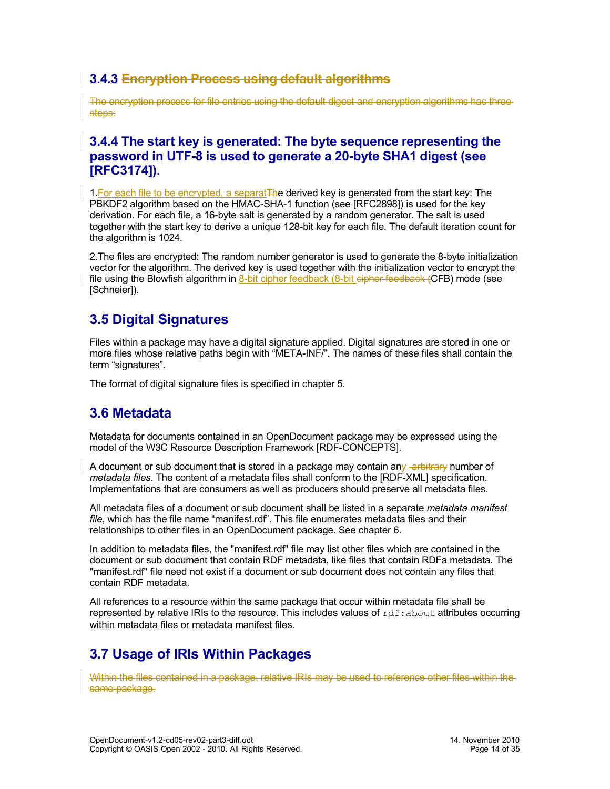### **3.4.3 Encryption Process using default algorithms**

The encryption process for file entries using the default digest and encryption algorithms has three steps:

#### **3.4.4 The start key is generated: The byte sequence representing the password in UTF-8 is used to generate a 20-byte SHA1 digest (see [RFC3174]).**

1. For each file to be encrypted, a separat The derived key is generated from the start key: The PBKDF2 algorithm based on the HMAC-SHA-1 function (see [RFC2898]) is used for the key derivation. For each file, a 16-byte salt is generated by a random generator. The salt is used together with the start key to derive a unique 128-bit key for each file. The default iteration count for the algorithm is 1024.

2.The files are encrypted: The random number generator is used to generate the 8-byte initialization vector for the algorithm. The derived key is used together with the initialization vector to encrypt the file using the Blowfish algorithm in 8-bit cipher feedback (8-bit cipher feedback (CFB) mode (see [Schneier]).

## <span id="page-13-2"></span>**3.5 Digital Signatures**

Files within a package may have a digital signature applied. Digital signatures are stored in one or more files whose relative paths begin with "META-INF/". The names of these files shall contain the term "signatures".

The format of digital signature files is specified in chapter [5.](#page-25-3)

### <span id="page-13-1"></span>**3.6 Metadata**

Metadata for documents contained in an OpenDocument package may be expressed using the model of the W3C Resource Description Framework [RDF-CONCEPTS].

A document or sub document that is stored in a package may contain any -arbitrary number of *metadata files*. The content of a metadata files shall conform to the [RDF-XML] specification. Implementations that are consumers as well as producers should preserve all metadata files.

All metadata files of a document or sub document shall be listed in a separate *metadata manifest file*, which has the file name "manifest.rdf". This file enumerates metadata files and their relationships to other files in an OpenDocument package. See chapter [6.](#page-28-6)

In addition to metadata files, the "manifest.rdf" file may list other files which are contained in the document or sub document that contain RDF metadata, like files that contain RDFa metadata. The "manifest.rdf" file need not exist if a document or sub document does not contain any files that contain RDF metadata.

All references to a resource within the same package that occur within metadata file shall be represented by relative IRIs to the resource. This includes values of  $\text{rdf:about attributes occurring}$ within metadata files or metadata manifest files.

# <span id="page-13-0"></span>**3.7 Usage of IRIs Within Packages**

Within the files contained in a package, relative IRIs may be used to reference other files within the same package.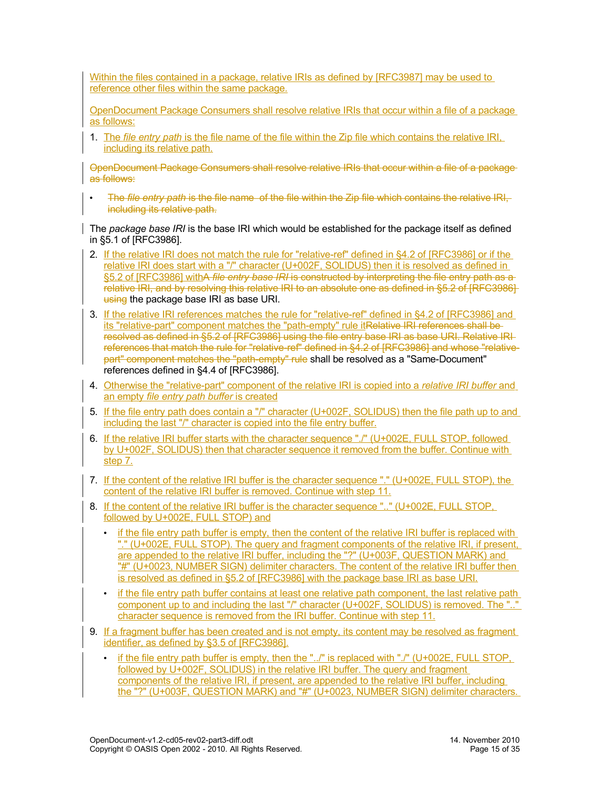Within the files contained in a package, relative IRIs as defined by [RFC3987] may be used to reference other files within the same package.

OpenDocument Package Consumers shall resolve relative IRIs that occur within a file of a package as follows:

1. The *file entry path* is the file name of the file within the Zip file which contains the relative IRI, including its relative path.

OpenDocument Package Consumers shall resolve relative IRIs that occur within a file of a package as follows:

• The *file entry path* is the file name of the file within the Zip file which contains the relative IRI, including its relative path.

The *package base IRI* is the base IRI which would be established for the package itself as defined in §5.1 of [RFC3986].

- 2. If the relative IRI does not match the rule for "relative-ref" defined in §4.2 of [RFC3986] or if the relative IRI does start with a "/" character (U+002F, SOLIDUS) then it is resolved as defined in §5.2 of [RFC3986] withA *file entry base IRI* is constructed by interpreting the file entry path as a relative IRI, and by resolving this relative IRI to an absolute one as defined in §5.2 of [RFC3986] using the package base IRI as base URI.
- 3. If the relative IRI references matches the rule for "relative-ref" defined in §4.2 of [RFC3986] and its "relative-part" component matches the "path-empty" rule itRelative IRI references shall be resolved as defined in §5.2 of [RFC3986] using the file entry base IRI as base URI. Relative IRI references that match the rule for "relative-ref" defined in §4.2 of [RFC3986] and whose "relativepart" component matches the "path-empty" rule shall be resolved as a "Same-Document" references defined in §4.4 of [RFC3986].
- 4. Otherwise the "relative-part" component of the relative IRI is copied into a *relative IRI buffer* and an empty *file entry path buffer* is created
- 5. If the file entry path does contain a "/" character (U+002F, SOLIDUS) then the file path up to and including the last "/" character is copied into the file entry buffer.
- 6. If the relative IRI buffer starts with the character sequence "./" (U+002E, FULL STOP, followed by U+002F, SOLIDUS) then that character sequence it removed from the buffer. Continue with step 7.
- 7. If the content of the relative IRI buffer is the character sequence "." (U+002E, FULL STOP), the content of the relative IRI buffer is removed. Continue with step 11.
- 8. If the content of the relative IRI buffer is the character sequence ".." (U+002E, FULL STOP, followed by U+002E, FULL STOP) and
	- if the file entry path buffer is empty, then the content of the relative IRI buffer is replaced with "." (U+002E, FULL STOP). The query and fragment components of the relative IRI, if present, are appended to the relative IRI buffer, including the "?" (U+003F, QUESTION MARK) and "#" (U+0023, NUMBER SIGN) delimiter characters. The content of the relative IRI buffer then is resolved as defined in §5.2 of [RFC3986] with the package base IRI as base URI.
	- if the file entry path buffer contains at least one relative path component, the last relative path component up to and including the last "/" character (U+002F, SOLIDUS) is removed. The ".." character sequence is removed from the IRI buffer. Continue with step 11.
- 9. If a fragment buffer has been created and is not empty, its content may be resolved as fragment identifier, as defined by §3.5 of [RFC3986].
	- if the file entry path buffer is empty, then the "../" is replaced with "./" (U+002E, FULL STOP, followed by U+002F, SOLIDUS) in the relative IRI buffer. The query and fragment components of the relative IRI, if present, are appended to the relative IRI buffer, including the "?" (U+003F, QUESTION MARK) and "#" (U+0023, NUMBER SIGN) delimiter characters.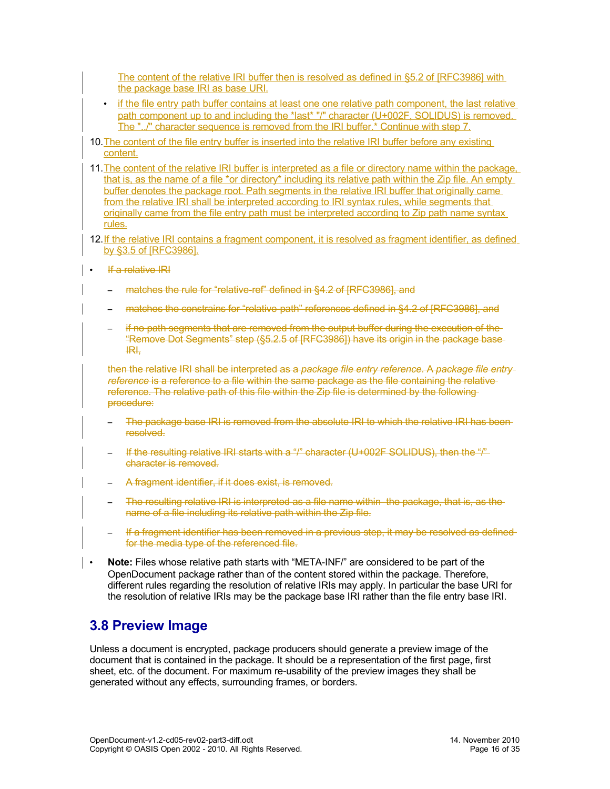The content of the relative IRI buffer then is resolved as defined in §5.2 of [RFC3986] with the package base IRI as base URI.

- if the file entry path buffer contains at least one one relative path component, the last relative path component up to and including the \*last\* "/" character (U+002F, SOLIDUS) is removed. The "../" character sequence is removed from the IRI buffer.\* Continue with step 7.
- 10. The content of the file entry buffer is inserted into the relative IRI buffer before any existing content.
- 11.The content of the relative IRI buffer is interpreted as a file or directory name within the package, that is, as the name of a file \*or directory\* including its relative path within the Zip file. An empty buffer denotes the package root. Path segments in the relative IRI buffer that originally came from the relative IRI shall be interpreted according to IRI syntax rules, while segments that originally came from the file entry path must be interpreted according to Zip path name syntax rules.
- 12. If the relative IRI contains a fragment component, it is resolved as fragment identifier, as defined by §3.5 of [RFC3986].
- If a relative IRI
	- matches the rule for "relative-ref" defined in §4.2 of [RFC3986], and
	- matches the constrains for "relative-path" references defined in §4.2 of [RFC3986], and
	- if no path segments that are removed from the output buffer during the execution of the "Remove Dot Segments" step (§5.2.5 of [RFC3986]) have its origin in the package base IRI,

then the relative IRI shall be interpreted as a *package file entry reference*. A *package file entry reference* is a reference to a file within the same package as the file containing the relative reference. The relative path of this file within the Zip file is determined by the following procedure:

- The package base IRI is removed from the absolute IRI to which the relative IRI has beenresolved.
- If the resulting relative IRI starts with a "/" character (U+002F SOLIDUS), then the "/" character is removed.
- A fragment identifier, if it does exist, is removed.
- The resulting relative IRI is interpreted as a file name within the package, that is, as the name of a file including its relative path within the Zip file.
- If a fragment identifier has been removed in a previous step, it may be resolved as defined for the media type of the referenced file.
- **Note:** Files whose relative path starts with "META-INF/" are considered to be part of the OpenDocument package rather than of the content stored within the package. Therefore, different rules regarding the resolution of relative IRIs may apply. In particular the base URI for the resolution of relative IRIs may be the package base IRI rather than the file entry base IRI.

## <span id="page-15-0"></span>**3.8 Preview Image**

Unless a document is encrypted, package producers should generate a preview image of the document that is contained in the package. It should be a representation of the first page, first sheet, etc. of the document. For maximum re-usability of the preview images they shall be generated without any effects, surrounding frames, or borders.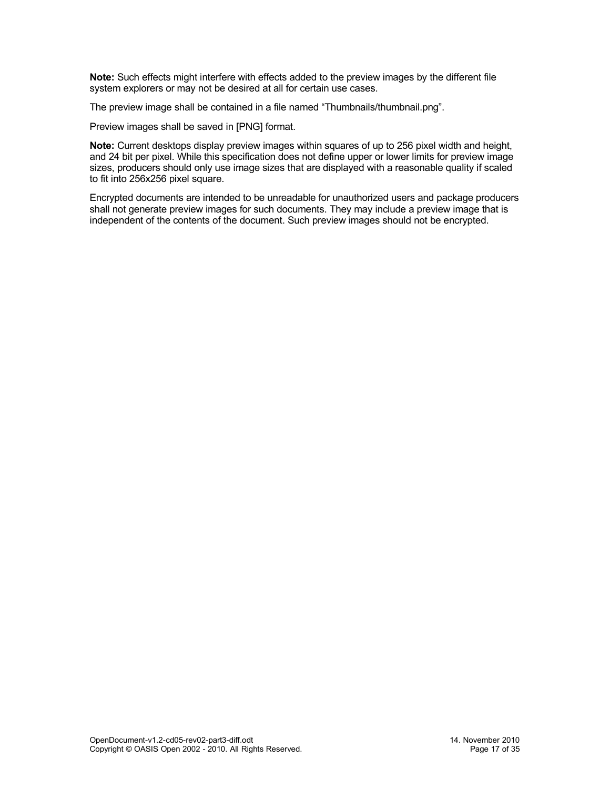**Note:** Such effects might interfere with effects added to the preview images by the different file system explorers or may not be desired at all for certain use cases.

The preview image shall be contained in a file named "Thumbnails/thumbnail.png".

Preview images shall be saved in [PNG] format.

**Note:** Current desktops display preview images within squares of up to 256 pixel width and height, and 24 bit per pixel. While this specification does not define upper or lower limits for preview image sizes, producers should only use image sizes that are displayed with a reasonable quality if scaled to fit into 256x256 pixel square.

Encrypted documents are intended to be unreadable for unauthorized users and package producers shall not generate preview images for such documents. They may include a preview image that is independent of the contents of the document. Such preview images should not be encrypted.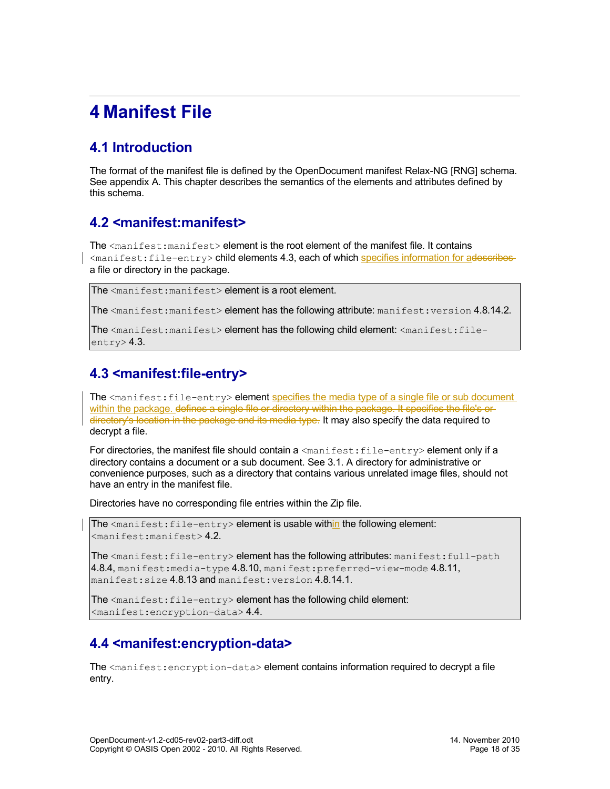# <span id="page-17-4"></span>**4 Manifest File**

# <span id="page-17-3"></span>**4.1 Introduction**

The format of the manifest file is defined by the OpenDocument manifest Relax-NG [RNG] schema. See appendix A. This chapter describes the semantics of the elements and attributes defined by this schema.

## <span id="page-17-2"></span>**4.2 <manifest:manifest>**

The <manifest: manifest> element is the root element of the manifest file. It contains <manifest:file-entry> child elements [4.3,](#page-17-1) each of which specifies information for adescribes a file or directory in the package.

```
The <manifest:manifest> element is a root element.
```
The  $\zeta$  manifest: manifest> element has the following attribute: manifest: version [4.8.14.2.](#page-24-4)

The <manifest:manifest> element has the following child element: <manifest:file $entrv$  $2.3$ .

# <span id="page-17-1"></span>**4.3 <manifest:file-entry>**

The <manifest: file-entry> element specifies the media type of a single file or sub document within the package, defines a single file or directory within the package. It specifies the file's ordirectory's location in the package and its media type. It may also specify the data required to decrypt a file.

For directories, the manifest file should contain  $a$  <manifest: file-entry> element only if a directory contains a document or a sub document. See [3.1.](#page-11-2) A directory for administrative or convenience purposes, such as a directory that contains various unrelated image files, should not have an entry in the manifest file.

Directories have no corresponding file entries within the Zip file.

The  $\zeta$  anifest: file-entry > element is usable within the following element:  $<$ manifest:manifest> [4.2.](#page-17-2)

The  $\zeta$  manifest: file-entry> element has the following attributes: manifest: full-path [4.8.4,](#page-21-2) manifest: media-type  $4.8.10$ , manifest: preferred-view-mode  $4.8.11$ , manifest:size [4.8.13](#page-24-1) and manifest:version [4.8.14.1.](#page-24-3)

The <manifest: file-entry> element has the following child element: <manifest:encryption-data> [4.4.](#page-17-0)

# <span id="page-17-0"></span>**4.4 <manifest:encryption-data>**

The  $\zeta$  manifest: encryption-data> element contains information required to decrypt a file entry.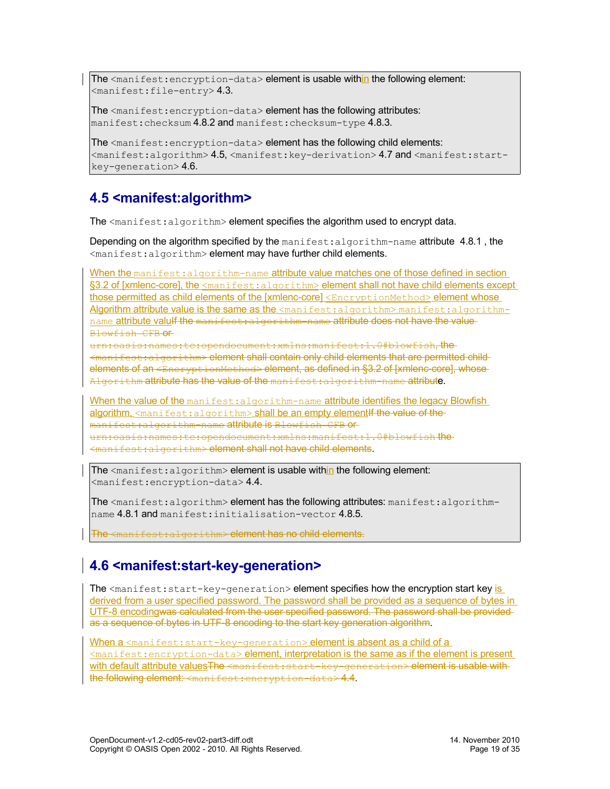The  $\zeta$  anifest: encryption-data> element is usable within the following element:  $<$ manifest:file-entry>[4.3.](#page-17-1)

The <manifest: encryption-data> element has the following attributes: manifest: checksum [4.8.2](#page-20-1) and manifest: checksum-type [4.8.3.](#page-20-0)

The <manifest:encryption-data> element has the following child elements: <manifest:algorithm> [4.5,](#page-18-1) <manifest:key-derivation> [4.7](#page-19-0) and <manifest:startkey-generation> [4.6.](#page-18-0)

# <span id="page-18-1"></span>**4.5 <manifest:algorithm>**

The  $\leq$ manifest: algorithm> element specifies the algorithm used to encrypt data.

Depending on the algorithm specified by the manifest: algorithm-name attribute 4.8.1, the <manifest:algorithm> element may have further child elements.

When the manifest: algorithm-name attribute value matches one of those defined in section §3.2 of [xmlenc-core], the <manifest:algorithm> element shall not have child elements except those permitted as child elements of the [xmlenc-core] <EncryptionMethod> element whose Algorithm attribute value is the same as the  $\leq$ manifest:algorithm> manifest:algorithmname attribute valulf the manifest: algorithm-name attribute does not have the value Blowfish CFB or

urn:oasis:names:tc:opendocument:xmlns:manifest:1.0#blowfish, the <manifest:algorithm> element shall contain only child elements that are permitted child elements of an <EncryptionMethod> element, as defined in §3.2 of [xmlenc-core], whose-Algorithm attribute has the value of the manifest: algorithm-name attribute.

When the value of the manifest: algorithm-name attribute identifies the legacy Blowfish algorithm,  $\zeta$  manifest: algorithm> shall be an empty element if the value of the manifest:algorithm-name attribute is Blowfish CFB or urn:oasis:names:tc:opendocument:xmlns:manifest:1.0#blowfish the  $mifest:$ algorithm> element shall not have child elements.

The  $\leq$ manifest: algorithm> element is usable within the following element: <manifest:encryption-data> [4.4.](#page-17-0)

The <manifest:algorithm> element has the following attributes: manifest:algorithmname [4.8.1](#page-19-1) and manifest:initialisation-vector [4.8.5.](#page-21-1)

The <manifest:algorithm> element has no child elements.

# <span id="page-18-0"></span>**4.6 <manifest:start-key-generation>**

The  $\zeta$  manifest: start-key-generation> element specifies how the encryption start key is derived from a user specified password. The password shall be provided as a sequence of bytes in UTF-8 encodingwas calculated from the user specified password. The password shall be provided as a sequence of bytes in UTF-8 encoding to the start key generation algorithm.

When a <manifest: start-key-generation> element is absent as a child of a <manifest:encryption-data> element, interpretation is the same as if the element is present with default attribute valuesThe <manifest:start-key-generation> element is usable withthe following element: <manifest:encryption-data> [4.4.](#page-17-0)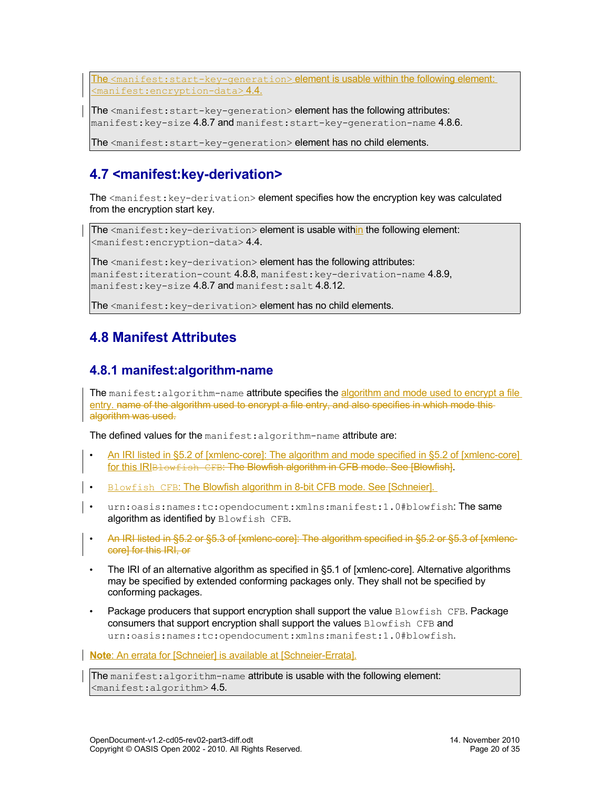The <manifest:start-key-generation> element is usable within the following element:  $<$ manifest:encryption-data>[4.4.](#page-17-0)

The <manifest: start-key-generation> element has the following attributes: manifest: key-size [4.8.7](#page-22-2) and manifest: start-key-generation-name [4.8.6.](#page-21-0)

The <manifest: start-key-generation> element has no child elements.

# <span id="page-19-0"></span>**4.7 <manifest:key-derivation>**

The <manifest: key-derivation> element specifies how the encryption key was calculated from the encryption start key.

The <manifest: key-derivation> element is usable within the following element: <manifest:encryption-data> [4.4.](#page-17-0)

The <manifest: key-derivation> element has the following attributes: manifest:iteration-count  $4.8.8$ , manifest:key-derivation-name  $4.8.9$ , manifest: key-size [4.8.7](#page-22-2) and manifest: salt [4.8.12.](#page-24-2)

The <manifest: key-derivation> element has no child elements.

# <span id="page-19-2"></span>**4.8 Manifest Attributes**

### <span id="page-19-1"></span>**4.8.1 manifest:algorithm-name**

The manifest: algorithm-name attribute specifies the algorithm and mode used to encrypt a file entry. name of the algorithm used to encrypt a file entry, and also specifies in which mode thisalgorithm was used.

The defined values for the manifest: algorithm-name attribute are:

- An IRI listed in §5.2 of [xmlenc-core] : The algorithm and mode specified in §5.2 of [xmlenc-core] for this IRIBLowfish CFB: The Blowfish algorithm in CFB mode. See [Blowfish].
- Blowfish CFB: The Blowfish algorithm in 8-bit CFB mode. See [Schneier].
- urn:oasis:names:tc:opendocument:xmlns:manifest:1.0#blowfish:The same algorithm as identified by Blowfish CFB.
- An IRI listed in §5.2 or §5.3 of [xmlenc-core]: The algorithm specified in §5.2 or §5.3 of [xmlenccore] for this IRI, or
- The IRI of an alternative algorithm as specified in §5.1 of [xmlenc-core]. Alternative algorithms may be specified by extended conforming packages only. They shall not be specified by conforming packages.
- Package producers that support encryption shall support the value Blowfish CFB. Package consumers that support encryption shall support the values Blowfish CFB and urn:oasis:names:tc:opendocument:xmlns:manifest:1.0#blowfish.

**Note:** An errata for [Schneier] is available at [Schneier-Errata].

The manifest: algorithm-name attribute is usable with the following element:  $<$ manifest:algorithm> [4.5.](#page-18-1)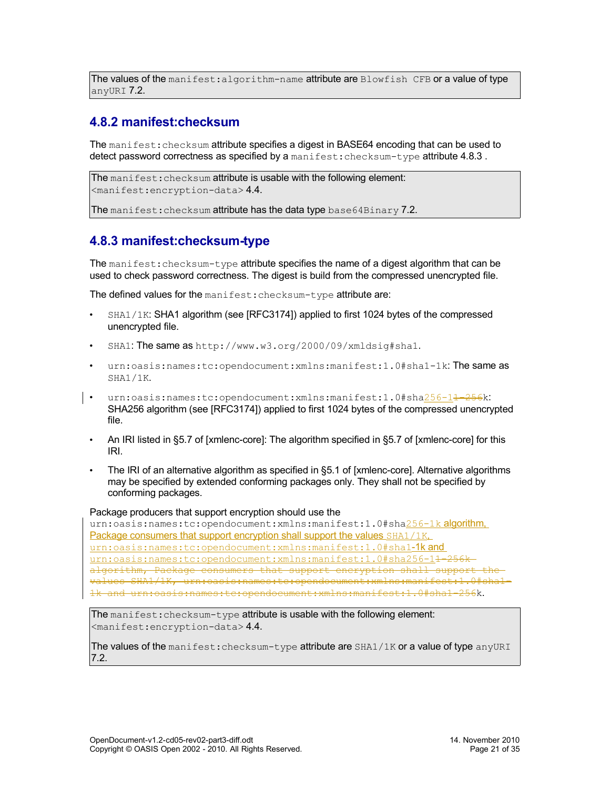The values of the manifest: algorithm-name attribute are  $B$ lowfish CFB or a value of type anyURI [7.2.](#page-30-5)

### <span id="page-20-1"></span>**4.8.2 manifest:checksum**

The manifest: checksum attribute specifies a digest in BASE64 encoding that can be used to detect password correctness as specified by a manifest: checksum-type attribute 4.8.3.

```
The manifest: checksum attribute is usable with the following element:
<manifest:encryption-data> 4.4.
```
The manifest: checksum attribute has the data type base64Binary [7.2.](#page-30-6)

### <span id="page-20-0"></span>**4.8.3 manifest:checksum-type**

The manifest: checksum-type attribute specifies the name of a digest algorithm that can be used to check password correctness. The digest is build from the compressed unencrypted file.

The defined values for the manifest: checksum-type attribute are:

- SHA1/1K: SHA1 algorithm (see [RFC3174]) applied to first 1024 bytes of the compressed unencrypted file.
- SHA1: The same as http://www.w3.org/2000/09/xmldsig#sha1.
- urn:oasis:names:tc:opendocument:xmlns:manifest:1.0#sha1-1k:The same as SHA1/1K.
- urn:oasis:names:tc:opendocument:xmlns:manifest:1.0#sha256-1<del>1-256</del>k: SHA256 algorithm (see [RFC3174]) applied to first 1024 bytes of the compressed unencrypted file.
	- An IRI listed in §5.7 of [xmlenc-core]: The algorithm specified in §5.7 of [xmlenc-core] for this IRI.
	- The IRI of an alternative algorithm as specified in §5.1 of [xmlenc-core]. Alternative algorithms may be specified by extended conforming packages only. They shall not be specified by conforming packages.

#### Package producers that support encryption should use the

urn:oasis:names:tc:opendocument:xmlns:manifest:1.0#sha256-1k algorithm, Package consumers that support encryption shall support the values SHA1/1K. urn:oasis:names:tc:opendocument:xmlns:manifest:1.0#sha1-1k and urn:oasis:names:tc:opendocument:xmlns:manifest:1.0#sha256-14-256kalgorithm, Package consumers that support encryption shall support values SHA1/1K, urn:oasis:names:tc:opendocument:xmlns:manifest:1.0#sha1- 1k and urn:oasis:names:tc:opendocument:xmlns:manifest:1.0#sha1-256k.

The manifest: checksum-type attribute is usable with the following element: <manifest:encryption-data> [4.4.](#page-17-0)

The values of the manifest: checksum-type attribute are SHA1/1K or a value of type anyURI [7.2.](#page-30-5)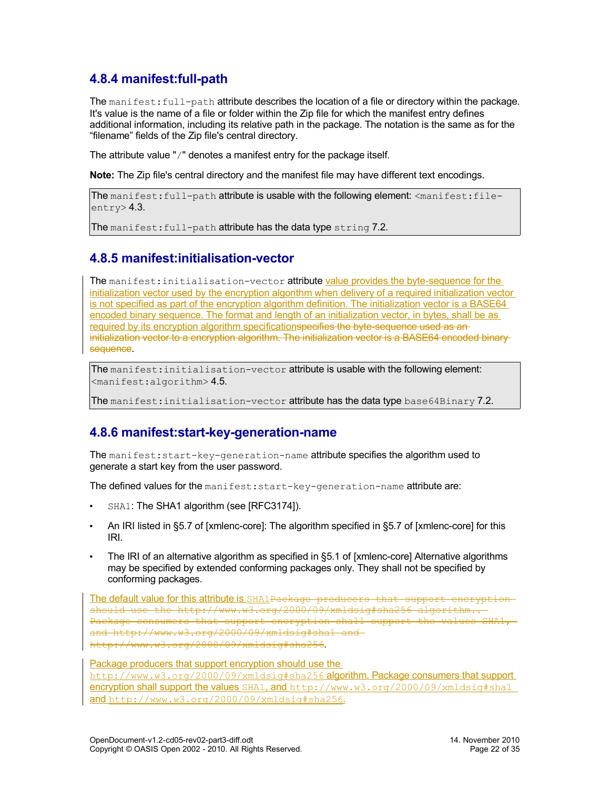## <span id="page-21-2"></span>**4.8.4 manifest:full-path**

The manifest: full-path attribute describes the location of a file or directory within the package. It's value is the name of a file or folder within the Zip file for which the manifest entry defines additional information, including its relative path in the package. The notation is the same as for the "filename" fields of the Zip file's central directory.

The attribute value "/" denotes a manifest entry for the package itself.

**Note:** The Zip file's central directory and the manifest file may have different text encodings.

```
The manifest:full-path attribute is usable with the following element: <manifest:file-
entry> 4.3.
```
The manifest: full-path attribute has the data type string [7.2.](#page-30-7)

#### <span id="page-21-1"></span>**4.8.5 manifest:initialisation-vector**

The manifest: initialisation-vector attribute value provides the byte-sequence for the initialization vector used by the encryption algorithm when delivery of a required initialization vector is not specified as part of the encryption algorithm definition. The initialization vector is a BASE64 encoded binary sequence. The format and length of an initialization vector, in bytes, shall be as required by its encryption algorithm specificationspecifies the byte-sequence used as aninitialization vector to a encryption algorithm. The initialization vector is a BASE64 encoded binarysequence.

The manifest: initialisation-vector attribute is usable with the following element: <manifest:algorithm> [4.5.](#page-18-1)

The manifest: initialisation-vector attribute has the data type base64Binary [7.2.](#page-30-6)

### <span id="page-21-0"></span>**4.8.6 manifest:start-key-generation-name**

The manifest:start-key-generation-name attribute specifies the algorithm used to generate a start key from the user password.

The defined values for the manifest: start-key-generation-name attribute are:

- SHA1: The SHA1 algorithm (see [RFC3174]).
- An IRI listed in §5.7 of [xmlenc-core]: The algorithm specified in §5.7 of [xmlenc-core] for this IRI.
- The IRI of an alternative algorithm as specified in §5.1 of [xmlenc-core] Alternative algorithms may be specified by extended conforming packages only. They shall not be specified by conforming packages.

The default value for this attribute is SHA1Package producers that support encryptionshould use the http://www.w3.org/2000/09/xmldsig#sha256 algorithm.. Package consumers that support encryption shall support the values SHA1, and http://www.w3.org/2000/09/xmldsig#sha1 and http://www.w3.org/2000/09/xmldsig#sha256.

Package producers that support encryption should use the http://www.w3.org/2000/09/xmldsig#sha256 algorithm. Package consumers that support encryption shall support the values SHA1, and http://www.w3.org/2000/09/xmldsig#sha1 and http://www.w3.org/2000/09/xmldsig#sha256.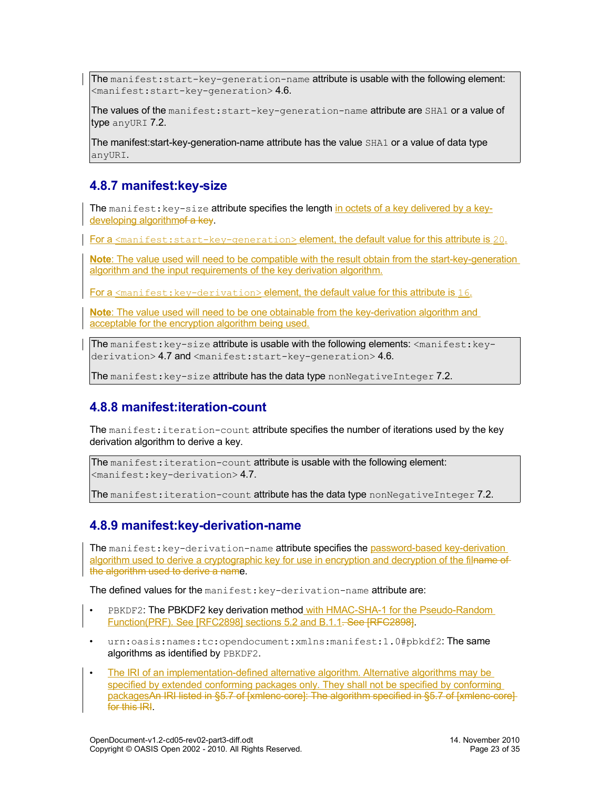The manifest:  $start-key-generation-name$  attribute is usable with the following element:  $<$ manifest:start-key-generation> [4.6.](#page-18-0)

The values of the manifest: start-key-generation-name attribute are SHA1 or a value of type anyURI [7.2.](#page-30-5)

The manifest:start-key-generation-name attribute has the value SHA1 or a value of data type anyURI.

#### <span id="page-22-2"></span>**4.8.7 manifest:key-size**

The manifest:  $key-size$  attribute specifies the length in octets of a key delivered by a keydeveloping algorithmof a key.

For a  $\epsilon$   $\epsilon$  and  $\epsilon$  is tart-key-generation  $\epsilon$  element, the default value for this attribute is 20.

**Note**: The value used will need to be compatible with the result obtain from the start-key-generation algorithm and the input requirements of the key derivation algorithm.

For a <manifest: key-derivation> element, the default value for this attribute is 16.

**Note**: The value used will need to be one obtainable from the key-derivation algorithm and acceptable for the encryption algorithm being used.

The manifest:  $key-size$  attribute is usable with the following elements:  $\langle$ manifest:  $key-$ derivation> [4.7](#page-19-0) and <manifest:start-key-generation> [4.6.](#page-18-0)

The manifest:  $key-size$  attribute has the data type nonNegativeInteger [7.2.](#page-30-8)

#### <span id="page-22-1"></span>**4.8.8 manifest:iteration-count**

The manifest: iteration-count attribute specifies the number of iterations used by the key derivation algorithm to derive a key.

The manifest: iteration-count attribute is usable with the following element:  $<$ manifest:key-derivation $> 4.7$ .

The manifest: iteration-count attribute has the data type nonNegativeInteger [7.2.](#page-30-8)

#### <span id="page-22-0"></span>**4.8.9 manifest:key-derivation-name**

The manifest: key-derivation-name attribute specifies the password-based key-derivation algorithm used to derive a cryptographic key for use in encryption and decryption of the filname of the algorithm used to derive a name.

The defined values for the manifest: key-derivation-name attribute are:

- PBKDF2: The PBKDF2 key derivation method with HMAC-SHA-1 for the Pseudo-Random Function(PRF). See [RFC2898] sections 5.2 and B.1.1. See [RFC2898].
- urn:oasis:names:tc:opendocument:xmlns:manifest:1.0#pbkdf2:The same algorithms as identified by PBKDF2.
- The IRI of an implementation-defined alternative algorithm. Alternative algorithms may be specified by extended conforming packages only. They shall not be specified by conforming packagesAn IRI listed in §5.7 of [xmlenc-core]: The algorithm specified in §5.7 of [xmlenc-core] for this **IRI**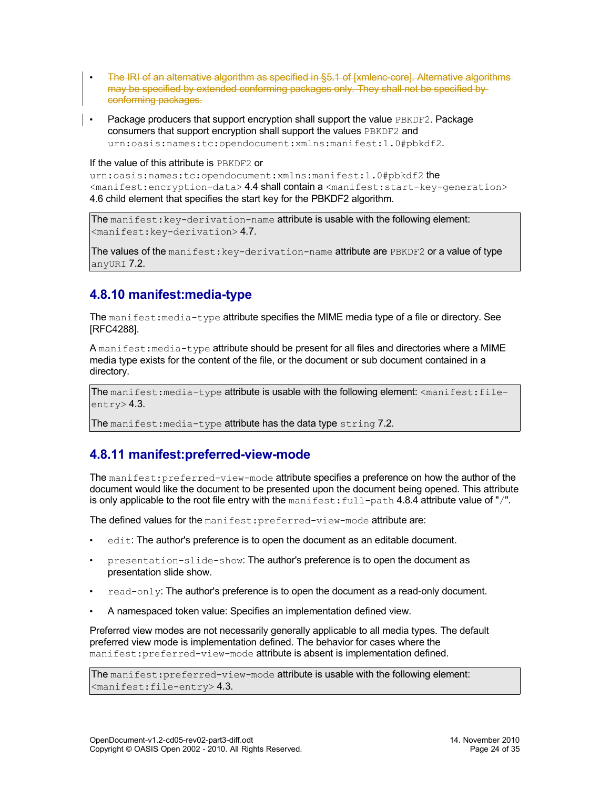- The IRI of an alternative algorithm as specified in §5.1 of [xmlenc-core]. Alternative algorithms may be specified by extended conforming packages only. They shall not be specified by conforming packages.
- Package producers that support encryption shall support the value PBKDF2. Package consumers that support encryption shall support the values PBKDF2 and urn:oasis:names:tc:opendocument:xmlns:manifest:1.0#pbkdf2.

#### If the value of this attribute is PBKDF2 or

urn:oasis:names:tc:opendocument:xmlns:manifest:1.0#pbkdf2 the <manifest:encryption-data> [4.4](#page-17-0) shall contain a <manifest:start-key-generation> [4.6](#page-18-0) child element that specifies the start key for the PBKDF2 algorithm.

The manifest: key-derivation-name attribute is usable with the following element: <manifest:key-derivation> [4.7.](#page-19-0)

The values of the manifest:  $key$ -derivation-name attribute are  $PBE$ DF2 or a value of type anyURI [7.2.](#page-30-5)

### <span id="page-23-1"></span>**4.8.10 manifest:media-type**

The manifest: media-type attribute specifies the MIME media type of a file or directory. See [RFC4288].

A manifest: media-type attribute should be present for all files and directories where a MIME media type exists for the content of the file, or the document or sub document contained in a directory.

The manifest: media-type attribute is usable with the following element:  $\zeta$  manifest: fileentry> [4.3.](#page-17-1)

The manifest: media-type attribute has the data type string [7.2.](#page-30-7)

#### <span id="page-23-0"></span>**4.8.11 manifest:preferred-view-mode**

The manifest: preferred-view-mode attribute specifies a preference on how the author of the document would like the document to be presented upon the document being opened. This attribute is only applicable to the root file entry with the manifest:  $full-path 4.8.4$  attribute value of "/".

The defined values for the manifest: preferred-view-mode attribute are:

- edit: The author's preference is to open the document as an editable document.
- presentation-slide-show: The author's preference is to open the document as presentation slide show.
- $read-only$ : The author's preference is to open the document as a read-only document.
- A namespaced token value: Specifies an implementation defined view.

Preferred view modes are not necessarily generally applicable to all media types. The default preferred view mode is implementation defined. The behavior for cases where the manifest: preferred-view-mode attribute is absent is implementation defined.

The manifest: preferred-view-mode attribute is usable with the following element:  $\langle$ manifest:file-entry>[4.3.](#page-17-1)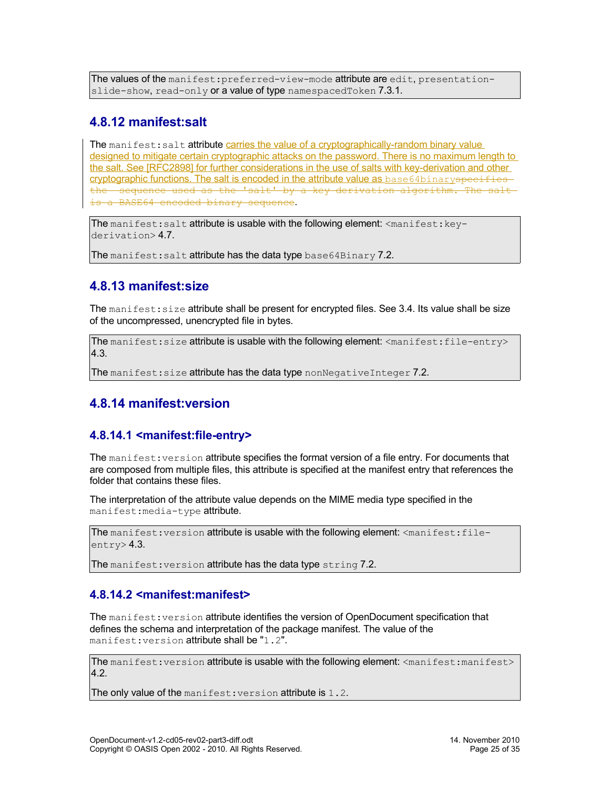The values of the manifest: preferred-view-mode attribute are edit, presentation-slide-show, read-only or a value of type namespacedToken [7.3.1.](#page-30-0)

#### <span id="page-24-2"></span>**4.8.12 manifest:salt**

The manifest: salt attribute carries the value of a cryptographically-random binary value designed to mitigate certain cryptographic attacks on the password. There is no maximum length to the salt. See [RFC2898] for further considerations in the use of salts with key-derivation and other cryptographic functions. The salt is encoded in the attribute value as base64binaryspecifies the sequence used as the 'salt' by a key derivation algorithm. The salt is a BASE64 encoded binary sequence.

The manifest: salt attribute is usable with the following element:  $\langle$ manifest:  $key-$ derivation> [4.7.](#page-19-0)

The manifest: salt attribute has the data type base  $64 \text{Binary } 7.2$ .

### <span id="page-24-1"></span>**4.8.13 manifest:size**

The manifest: size attribute shall be present for encrypted files. See [3.4.](#page-12-2) Its value shall be size of the uncompressed, unencrypted file in bytes.

The manifest: size attribute is usable with the following element: <manifest: file-entry> [4.3.](#page-17-1)

The manifest: size attribute has the data type nonNegativeInteger [7.2.](#page-30-8)

### <span id="page-24-0"></span>**4.8.14 manifest:version**

#### <span id="page-24-3"></span>**4.8.14.1 <manifest:file-entry>**

The manifest: version attribute specifies the format version of a file entry. For documents that are composed from multiple files, this attribute is specified at the manifest entry that references the folder that contains these files.

The interpretation of the attribute value depends on the MIME media type specified in the manifest:media-type attribute.

The manifest: version attribute is usable with the following element: <manifest:fileentry> [4.3.](#page-17-1)

The manifest: version attribute has the data type string [7.2.](#page-30-7)

#### <span id="page-24-4"></span>**4.8.14.2 <manifest:manifest>**

The manifest: version attribute identifies the version of OpenDocument specification that defines the schema and interpretation of the package manifest. The value of the manifest: version attribute shall be "1.2".

The manifest: version attribute is usable with the following element: <manifest:manifest> [4.2.](#page-17-2)

The only value of the manifest: version attribute is 1.2.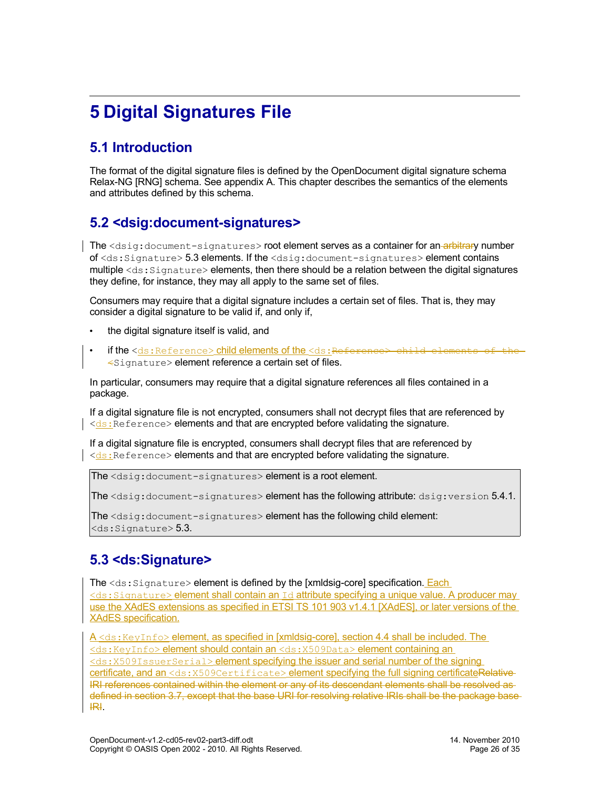# <span id="page-25-3"></span>**5 Digital Signatures File**

# <span id="page-25-2"></span>**5.1 Introduction**

The format of the digital signature files is defined by the OpenDocument digital signature schema Relax-NG [RNG] schema. See appendix A. This chapter describes the semantics of the elements and attributes defined by this schema.

# <span id="page-25-1"></span>**5.2 <dsig:document-signatures>**

The <dsig:document-signatures> root element serves as a container for an-arbitrary number of <ds:Signature> [5.3](#page-25-0) elements. If the <dsig:document-signatures> element contains multiple  $\langle ds:Signature\rangle$  elements, then there should be a relation between the digital signatures they define, for instance, they may all apply to the same set of files.

Consumers may require that a digital signature includes a certain set of files. That is, they may consider a digital signature to be valid if, and only if,

- the digital signature itself is valid, and
- if the <ds:Reference> child elements of the <ds:Reference> child elements of the <Signature> element reference a certain set of files.

In particular, consumers may require that a digital signature references all files contained in a package.

If a digital signature file is not encrypted, consumers shall not decrypt files that are referenced by  $\vert \langle ds : \vert \rangle$  Reference > elements and that are encrypted before validating the signature.

If a digital signature file is encrypted, consumers shall decrypt files that are referenced by  $\le$ ds: Reference> elements and that are encrypted before validating the signature.

The <dsig:document-signatures> element is a root element.

The <dsig:document-signatures> element has the following attribute: dsig:version [5.4.1.](#page-27-0)

The <dsig:document-signatures> element has the following child element:  $<$ ds: Signature $>$  [5.3.](#page-25-0)

## <span id="page-25-0"></span>**5.3 <ds:Signature>**

The <ds: Signature> element is defined by the [xmldsig-core] specification. Each <ds:Signature> element shall contain an Id attribute specifying a unique value. A producer may use the XAdES extensions as specified in ETSI TS 101 903 v1.4.1 [XAdES], or later versions of the XAdES specification.

A <ds: KeyInfo> element, as specified in [xmldsig-core], section 4.4 shall be included. The <ds:KeyInfo> element should contain an <ds:X509Data> element containing an <ds:X509IssuerSerial> element specifying the issuer and serial number of the signing certificate, and an <ds: X509Certificate> element specifying the full signing certificateRelative-IRI references contained within the element or any of its descendant elements shall be resolved as defined in section [3.7,](#page-13-0) except that the base URI for resolving relative IRIs shall be the package base IRI.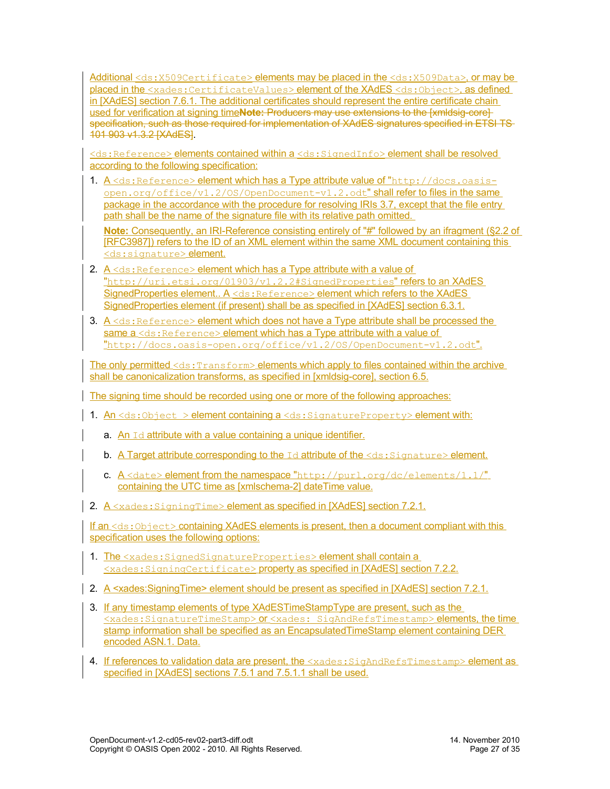Additional <ds:X509Certificate> elements may be placed in the <ds:X509Data>, or may be placed in the <xades:CertificateValues>element of the XAdES <ds:Object>, as defined in [XAdES] section 7.6.1. The additional certificates should represent the entire certificate chain used for verification at signing time**Note:** Producers may use extensions to the [xmldsig-core] specification, such as those required for implementation of XAdES signatures specified in ETSI TS-101 903 v1.3.2 [XAdES].

<ds:Reference> elements contained within a <ds:SignedInfo> element shall be resolved according to the following specification:

1. A <ds:Reference> element which has a Type attribute value of "http://docs.oasis $open.org/office/v1.2/OS/OpenDocument-v1.2.odt''$  shall refer to files in the same package in the accordance with the procedure for resolving IRIs [3.7,](#page-13-0) except that the file entry path shall be the name of the signature file with its relative path omitted.

**Note:** Consequently, an IRI-Reference consisting entirely of "#" followed by an ifragment (§2.2 of [RFC3987]) refers to the ID of an XML element within the same XML document containing this <ds: signature> element.

- 2. A <ds: Reference> element which has a Type attribute with a value of "http://uri.etsi.org/01903/v1.2.2#SignedProperties" refers to an XAdES SignedProperties element.. A <ds: Reference> element which refers to the XAdES SignedProperties element (if present) shall be as specified in [XAdES] section 6.3.1.
- 3.  $A \leq ds$ : Reference> element which does not have a Type attribute shall be processed the same a <ds: Reference> element which has a Type attribute with a value of "http://docs.oasis-open.org/office/v1.2/OS/OpenDocument-v1.2.odt".

The only permitted <ds: Transform> elements which apply to files contained within the archive shall be canonicalization transforms, as specified in [xmldsig-core], section 6.5.

The signing time should be recorded using one or more of the following approaches:

- 1. An  $\leq$ ds:Object > element containing a  $\leq$ ds:SignatureProperty> element with:
	- a. An  $Id$  attribute with a value containing a unique identifier.
	- **b.** A Target attribute corresponding to the  $Id$  attribute of the  $\langle ds : S \rangle$  ignature  $\rangle$  element.
	- c.  $A \leq$ date> element from the namespace "http://purl.org/dc/elements/1.1/" containing the UTC time as [xmlschema-2] dateTime value.
- 2. A <xades: SigningTime> element as specified in [XAdES] section 7.2.1.

If an <ds: Object> containing XAdES elements is present, then a document compliant with this specification uses the following options:

- 1. The <xades: SignedSignatureProperties> element shall contain a <xades:SigningCertificate> property as specified in [XAdES] section 7.2.2.
- 2. A <xades: Signing Time> element should be present as specified in [XAdES] section 7.2.1.
- 3. If any timestamp elements of type XAdESTimeStampType are present, such as the <xades:SignatureTimeStamp> or <xades: SigAndRefsTimestamp> elements, the time stamp information shall be specified as an Encapsulated TimeStamp element containing DER encoded ASN.1. Data.
- 4. If references to validation data are present, the <xades: SigAndRefsTimestamp> element as specified in [XAdES] sections 7.5.1 and 7.5.1.1 shall be used.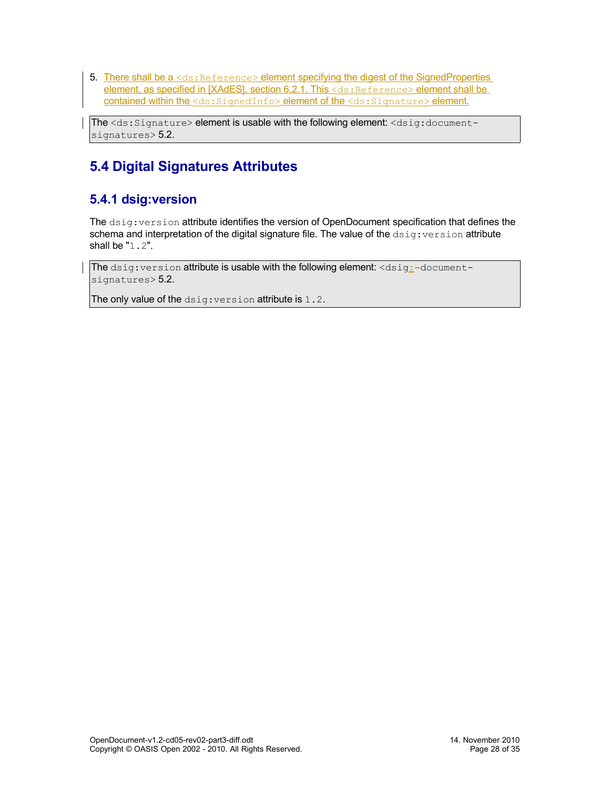5. There shall be a <ds: Reference> element specifying the digest of the SignedProperties element, as specified in [XAdES], section 6.2.1. This <ds: Reference> element shall be contained within the <ds: SignedInfo> element of the <ds: Signature> element.

The <ds:Signature> element is usable with the following element: <dsig:document-signatures> [5.2.](#page-25-1)

# <span id="page-27-1"></span>**5.4 Digital Signatures Attributes**

## <span id="page-27-0"></span>**5.4.1 dsig:version**

The dsig:version attribute identifies the version of OpenDocument specification that defines the schema and interpretation of the digital signature file. The value of the  $dsig:version$  attribute shall be "1.2".

The  $disig:version$  attribute is usable with the following element:  $$ signatures> [5.2.](#page-25-1)

The only value of the dsig: version attribute is 1.2.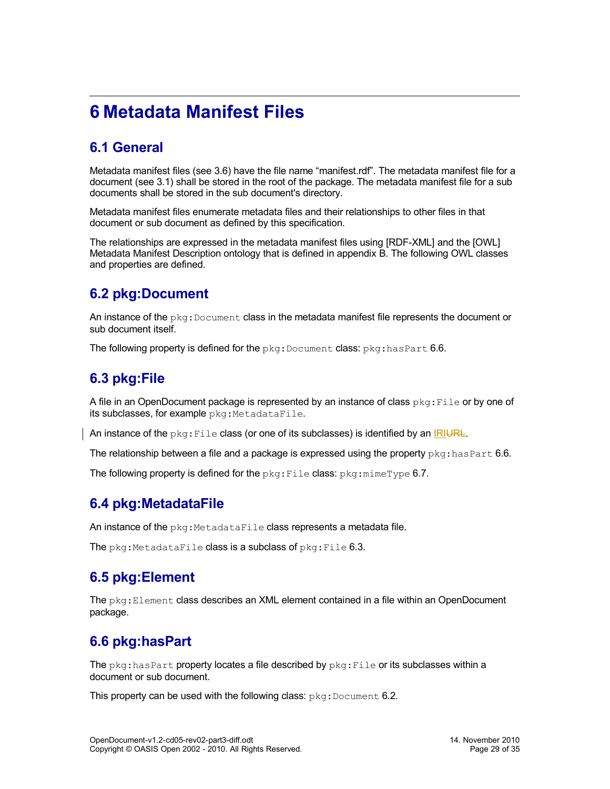# <span id="page-28-6"></span>**6 Metadata Manifest Files**

# <span id="page-28-5"></span>**6.1 General**

Metadata manifest files (see [3.6\)](#page-13-1) have the file name "manifest.rdf". The metadata manifest file for a document (see [3.1\)](#page-11-2) shall be stored in the root of the package. The metadata manifest file for a sub documents shall be stored in the sub document's directory.

Metadata manifest files enumerate metadata files and their relationships to other files in that document or sub document as defined by this specification.

The relationships are expressed in the metadata manifest files using [RDF-XML] and the [OWL] Metadata Manifest Description ontology that is defined in appendix B. The following OWL classes and properties are defined.

# <span id="page-28-4"></span>**6.2 pkg:Document**

An instance of the  $pkg:Document$  class in the metadata manifest file represents the document or sub document itself.

The following property is defined for the  $pkq:Document$  class:  $pkq:hasPart 6.6$ .

# <span id="page-28-3"></span>**6.3 pkg:File**

A file in an OpenDocument package is represented by an instance of class  $pkq:File$  or by one of its subclasses, for example pkg: MetadataFile.

An instance of the  $pkg$ : File class (or one of its subclasses) is identified by an IRIURL.

The relationship between a file and a package is expressed using the property  $pkg:hasPart 6.6$ .

The following property is defined for the  $pkg$ : File class:  $pkg$ :  $min$  $ype$  [6.7.](#page-29-0)

### <span id="page-28-2"></span>**6.4 pkg:MetadataFile**

An instance of the  $pkq$ : MetadataFile class represents a metadata file.

The  $pkq$ :MetadataFile class is a subclass of  $pkq$ :File [6.3.](#page-28-3)

## <span id="page-28-1"></span>**6.5 pkg:Element**

The  $pkq:Element$  class describes an XML element contained in a file within an OpenDocument package.

# <span id="page-28-0"></span>**6.6 pkg:hasPart**

The  $pkq:hasPart$  property locates a file described by  $pkq:File$  or its subclasses within a document or sub document.

This property can be used with the following class:  $pkg:Document 6.2$ .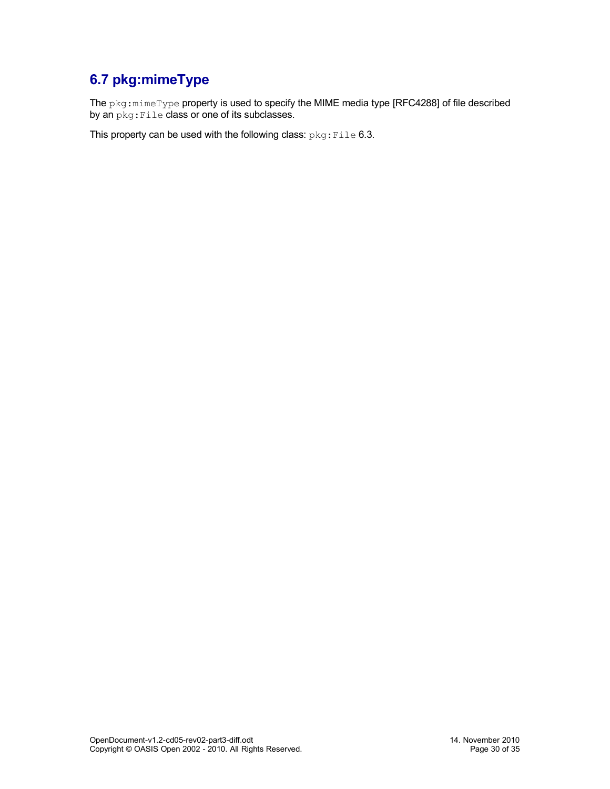# <span id="page-29-0"></span>**6.7 pkg:mimeType**

The pkg:mimeType property is used to specify the MIME media type [RFC4288] of file described by an  $pkg:File$  class or one of its subclasses.

This property can be used with the following class: pkg: File [6.3.](#page-28-3)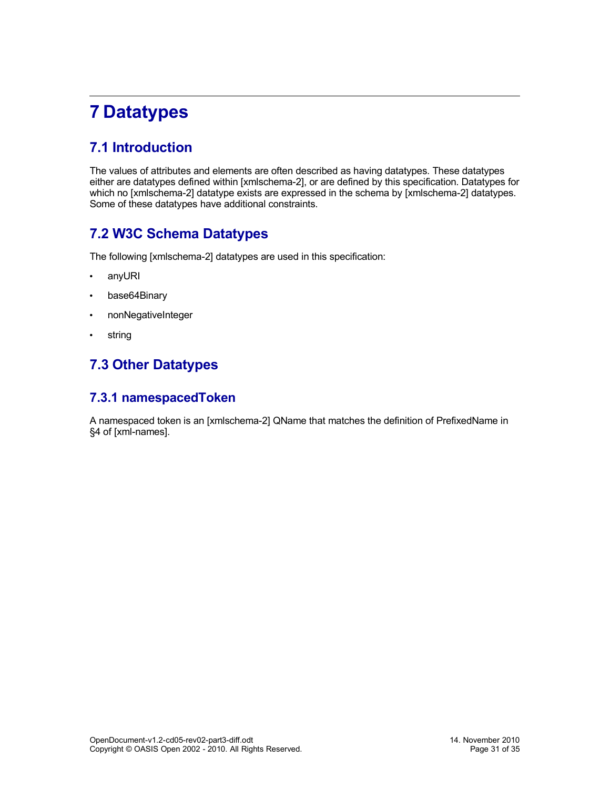# <span id="page-30-4"></span>**7 Datatypes**

# <span id="page-30-3"></span>**7.1 Introduction**

The values of attributes and elements are often described as having datatypes. These datatypes either are datatypes defined within [xmlschema-2], or are defined by this specification. Datatypes for which no [xmlschema-2] datatype exists are expressed in the schema by [xmlschema-2] datatypes. Some of these datatypes have additional constraints.

# <span id="page-30-2"></span>**7.2 W3C Schema Datatypes**

The following [xmlschema-2] datatypes are used in this specification:

- <span id="page-30-5"></span>• anyURI
- <span id="page-30-6"></span>• base64Binary
- <span id="page-30-8"></span>• nonNegativeInteger
- <span id="page-30-7"></span>• string

# <span id="page-30-1"></span>**7.3 Other Datatypes**

#### <span id="page-30-0"></span>**7.3.1 namespacedToken**

A namespaced token is an [xmlschema-2] QName that matches the definition of PrefixedName in §4 of [xml-names].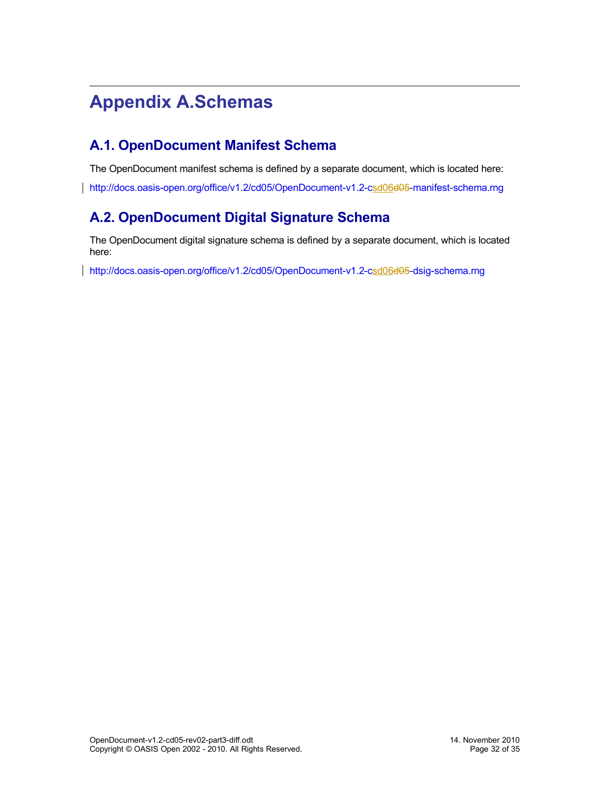# <span id="page-31-2"></span>**Appendix A.Schemas**

# <span id="page-31-1"></span>**A.1. OpenDocument Manifest Schema**

The OpenDocument manifest schema is defined by a separate document, which is located here:

[http://docs.oasis-open.org/office/v1.2/cd05/OpenDocument-v1.2-csd06](http://docs.oasis-open.org/office/v1.2/cd05/OpenDocument-v1.2-csd056-manifest-schema.rng)[d05](http://docs.oasis-open.org/office/v1.2/cd05/OpenDocument-v1.2-cd05-manifest-schema.rng)[-manifest-schema.rng](http://docs.oasis-open.org/office/v1.2/cd05/OpenDocument-v1.2-csd056-manifest-schema.rng)

# <span id="page-31-0"></span>**A.2. OpenDocument Digital Signature Schema**

The OpenDocument digital signature schema is defined by a separate document, which is located here:

[http://docs.oasis-open.org/office/v1.2/cd05/OpenDocument-v1.2-csd06](http://docs.oasis-open.org/office/v1.2/cd05/OpenDocument-v1.2-csd056-dsig-schema.rng)[d05](http://docs.oasis-open.org/office/v1.2/cd05/OpenDocument-v1.2-cd05-dsig-schema.rng)[-dsig-schema.rng](http://docs.oasis-open.org/office/v1.2/cd05/OpenDocument-v1.2-csd056-dsig-schema.rng)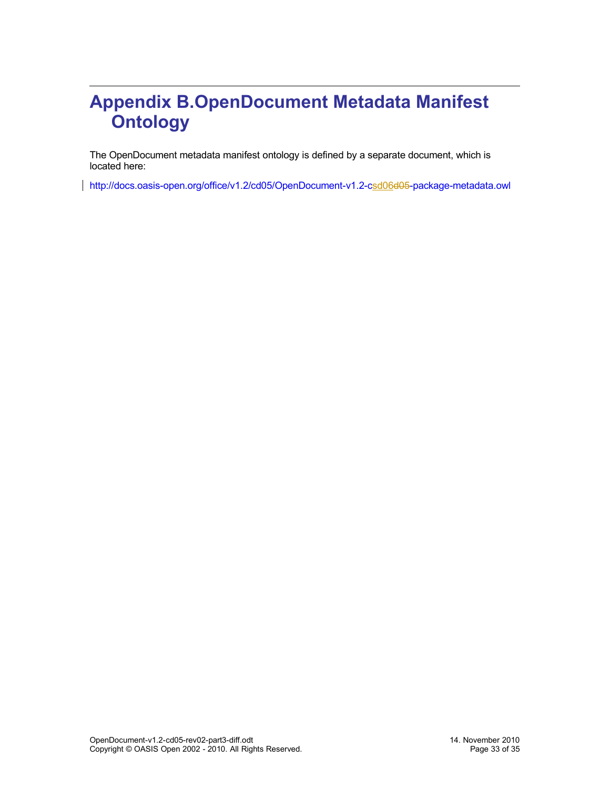# <span id="page-32-0"></span>**Appendix B.OpenDocument Metadata Manifest Ontology**

The OpenDocument metadata manifest ontology is defined by a separate document, which is located here:

[http://docs.oasis-open.org/office/v1.2/cd05/OpenDocument-v1.2-csd06](http://docs.oasis-open.org/office/v1.2/cd05/OpenDocument-v1.2-csd056-package-metadata.owl)[d05](http://docs.oasis-open.org/office/v1.2/cd05/OpenDocument-v1.2-cd05-package-metadata.owl)[-package-metadata.owl](http://docs.oasis-open.org/office/v1.2/cd05/OpenDocument-v1.2-csd056-package-metadata.owl)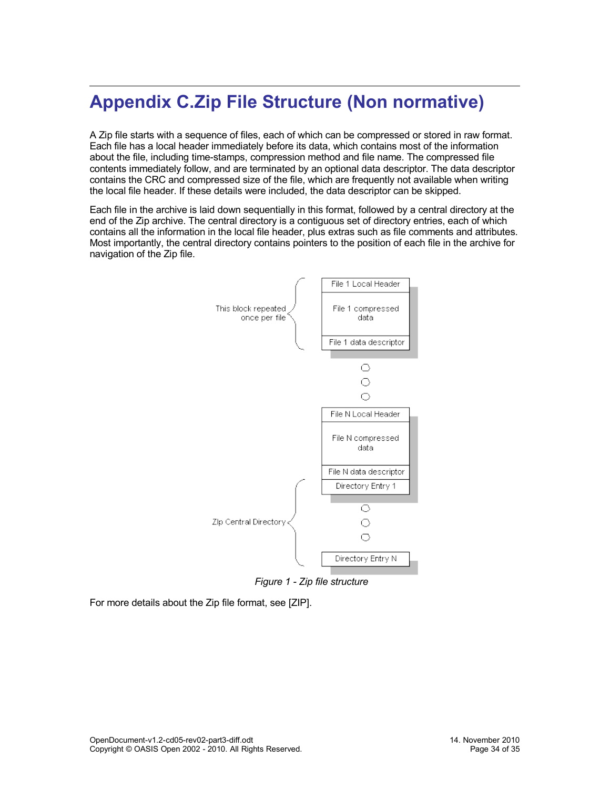# <span id="page-33-0"></span>**Appendix C.Zip File Structure (Non normative)**

A Zip file starts with a sequence of files, each of which can be compressed or stored in raw format. Each file has a local header immediately before its data, which contains most of the information about the file, including time-stamps, compression method and file name. The compressed file contents immediately follow, and are terminated by an optional data descriptor. The data descriptor contains the CRC and compressed size of the file, which are frequently not available when writing the local file header. If these details were included, the data descriptor can be skipped.

Each file in the archive is laid down sequentially in this format, followed by a central directory at the end of the Zip archive. The central directory is a contiguous set of directory entries, each of which contains all the information in the local file header, plus extras such as file comments and attributes. Most importantly, the central directory contains pointers to the position of each file in the archive for navigation of the Zip file.



*Figure 1 - Zip file structure*

For more details about the Zip file format, see [ZIP].